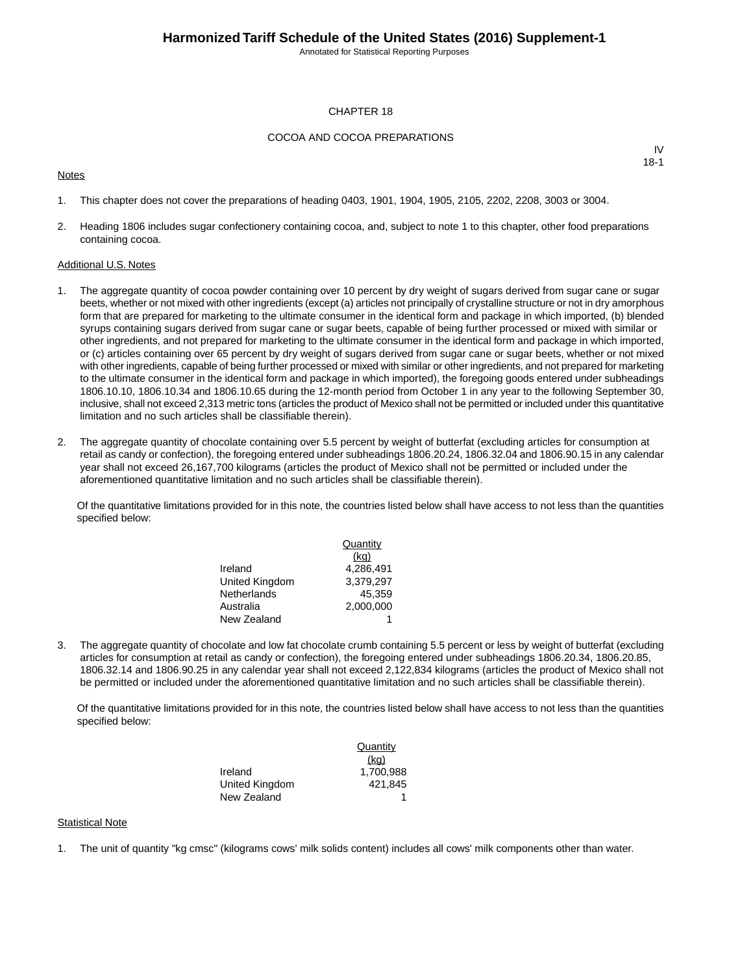Annotated for Statistical Reporting Purposes

#### CHAPTER 18

#### COCOA AND COCOA PREPARATIONS

#### **Notes**

IV 18-1

- 1. This chapter does not cover the preparations of heading 0403, 1901, 1904, 1905, 2105, 2202, 2208, 3003 or 3004.
- 2. Heading 1806 includes sugar confectionery containing cocoa, and, subject to note 1 to this chapter, other food preparations containing cocoa.

#### Additional U.S. Notes

- 1. The aggregate quantity of cocoa powder containing over 10 percent by dry weight of sugars derived from sugar cane or sugar beets, whether or not mixed with other ingredients (except (a) articles not principally of crystalline structure or not in dry amorphous form that are prepared for marketing to the ultimate consumer in the identical form and package in which imported, (b) blended syrups containing sugars derived from sugar cane or sugar beets, capable of being further processed or mixed with similar or other ingredients, and not prepared for marketing to the ultimate consumer in the identical form and package in which imported, or (c) articles containing over 65 percent by dry weight of sugars derived from sugar cane or sugar beets, whether or not mixed with other ingredients, capable of being further processed or mixed with similar or other ingredients, and not prepared for marketing to the ultimate consumer in the identical form and package in which imported), the foregoing goods entered under subheadings 1806.10.10, 1806.10.34 and 1806.10.65 during the 12-month period from October 1 in any year to the following September 30, inclusive, shall not exceed 2,313 metric tons (articles the product of Mexico shall not be permitted or included under this quantitative limitation and no such articles shall be classifiable therein).
- 2. The aggregate quantity of chocolate containing over 5.5 percent by weight of butterfat (excluding articles for consumption at retail as candy or confection), the foregoing entered under subheadings 1806.20.24, 1806.32.04 and 1806.90.15 in any calendar year shall not exceed 26,167,700 kilograms (articles the product of Mexico shall not be permitted or included under the aforementioned quantitative limitation and no such articles shall be classifiable therein).

Of the quantitative limitations provided for in this note, the countries listed below shall have access to not less than the quantities specified below:

|                | Quantity  |
|----------------|-----------|
|                | (kq)      |
| Ireland        | 4.286.491 |
| United Kingdom | 3.379.297 |
| Netherlands    | 45.359    |
| Australia      | 2.000.000 |
| New Zealand    |           |

3. The aggregate quantity of chocolate and low fat chocolate crumb containing 5.5 percent or less by weight of butterfat (excluding articles for consumption at retail as candy or confection), the foregoing entered under subheadings 1806.20.34, 1806.20.85, 1806.32.14 and 1806.90.25 in any calendar year shall not exceed 2,122,834 kilograms (articles the product of Mexico shall not be permitted or included under the aforementioned quantitative limitation and no such articles shall be classifiable therein).

Of the quantitative limitations provided for in this note, the countries listed below shall have access to not less than the quantities specified below:

|                | Quantity  |
|----------------|-----------|
|                | (kq)      |
| Ireland        | 1.700.988 |
| United Kingdom | 421.845   |
| New Zealand    |           |

#### Statistical Note

1. The unit of quantity "kg cmsc" (kilograms cows' milk solids content) includes all cows' milk components other than water.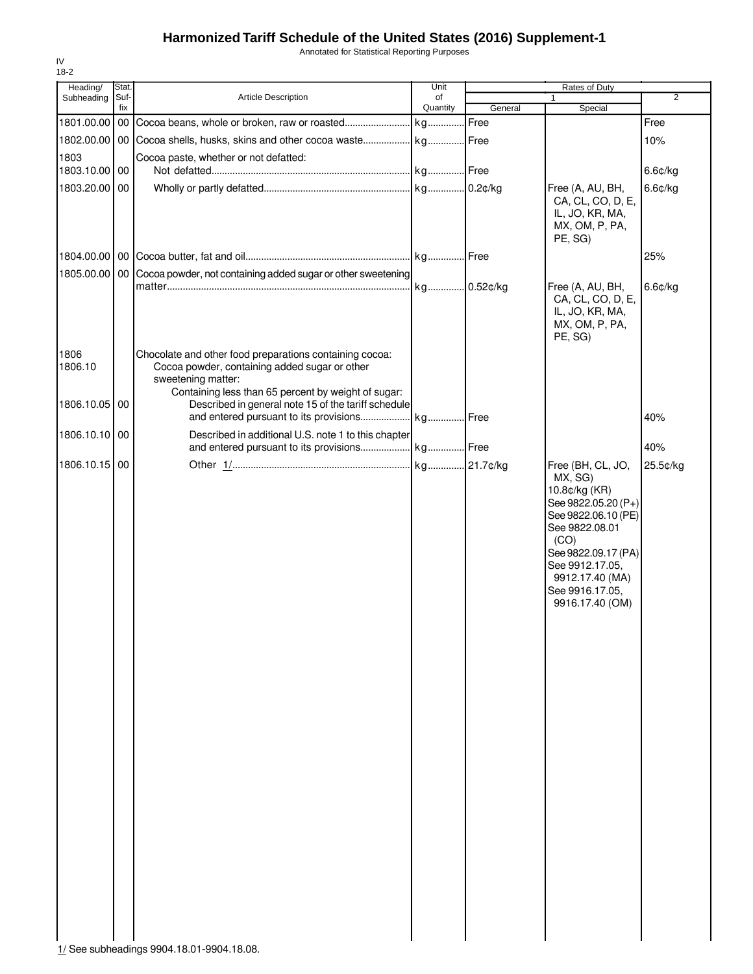Annotated for Statistical Reporting Purposes

| Heading/        | Stat.       |                                                                                                          | Unit           |         | Rates of Duty                                                                                                                                                                                       |                |
|-----------------|-------------|----------------------------------------------------------------------------------------------------------|----------------|---------|-----------------------------------------------------------------------------------------------------------------------------------------------------------------------------------------------------|----------------|
| Subheading      | Suf-<br>fix | Article Description                                                                                      | of<br>Quantity | General | $\mathbf{1}$<br>Special                                                                                                                                                                             | $\overline{2}$ |
| 1801.00.00      | 00          |                                                                                                          |                | Free    |                                                                                                                                                                                                     | Free           |
| 1802.00.00      |             | 00 Cocoa shells, husks, skins and other cocoa waste kg Free                                              |                |         |                                                                                                                                                                                                     | 10%            |
| 1803            |             | Cocoa paste, whether or not defatted:                                                                    |                |         |                                                                                                                                                                                                     |                |
| 1803.10.00 00   |             |                                                                                                          |                |         |                                                                                                                                                                                                     | 6.6¢/kg        |
| 1803.20.00 00   |             |                                                                                                          |                |         | Free (A, AU, BH,<br>CA, CL, CO, D, E,<br>IL, JO, KR, MA,<br>MX, OM, P, PA,<br>PE, SG)                                                                                                               | 6.6¢/kg        |
|                 |             |                                                                                                          |                |         |                                                                                                                                                                                                     | 25%            |
|                 |             | 1805.00.00   00 Cocoa powder, not containing added sugar or other sweetening                             |                |         |                                                                                                                                                                                                     |                |
|                 |             |                                                                                                          | kg 0.52¢/kg    |         | Free (A, AU, BH,<br>CA, CL, CO, D, E,<br>IL, JO, KR, MA,<br>MX, OM, P, PA,<br>PE, SG)                                                                                                               | 6.6¢/kg        |
| 1806<br>1806.10 |             | Chocolate and other food preparations containing cocoa:<br>Cocoa powder, containing added sugar or other |                |         |                                                                                                                                                                                                     |                |
|                 |             | sweetening matter:<br>Containing less than 65 percent by weight of sugar:                                |                |         |                                                                                                                                                                                                     |                |
| 1806.10.05      | 00          | Described in general note 15 of the tariff schedule                                                      |                |         |                                                                                                                                                                                                     |                |
| 1806.10.10      | 00          | Described in additional U.S. note 1 to this chapter                                                      |                |         |                                                                                                                                                                                                     | 40%            |
|                 |             |                                                                                                          |                |         |                                                                                                                                                                                                     | 40%            |
| 1806.10.15      | 00          |                                                                                                          |                |         | Free (BH, CL, JO,                                                                                                                                                                                   | 25.5¢/kg       |
|                 |             |                                                                                                          |                |         | MX, SG)<br>10.8¢/kg (KR)<br>See 9822.05.20 (P+)<br>See 9822.06.10 (PE)<br>See 9822.08.01<br>(CO)<br>See 9822.09.17 (PA)<br>See 9912.17.05,<br>9912.17.40 (MA)<br>See 9916.17.05,<br>9916.17.40 (OM) |                |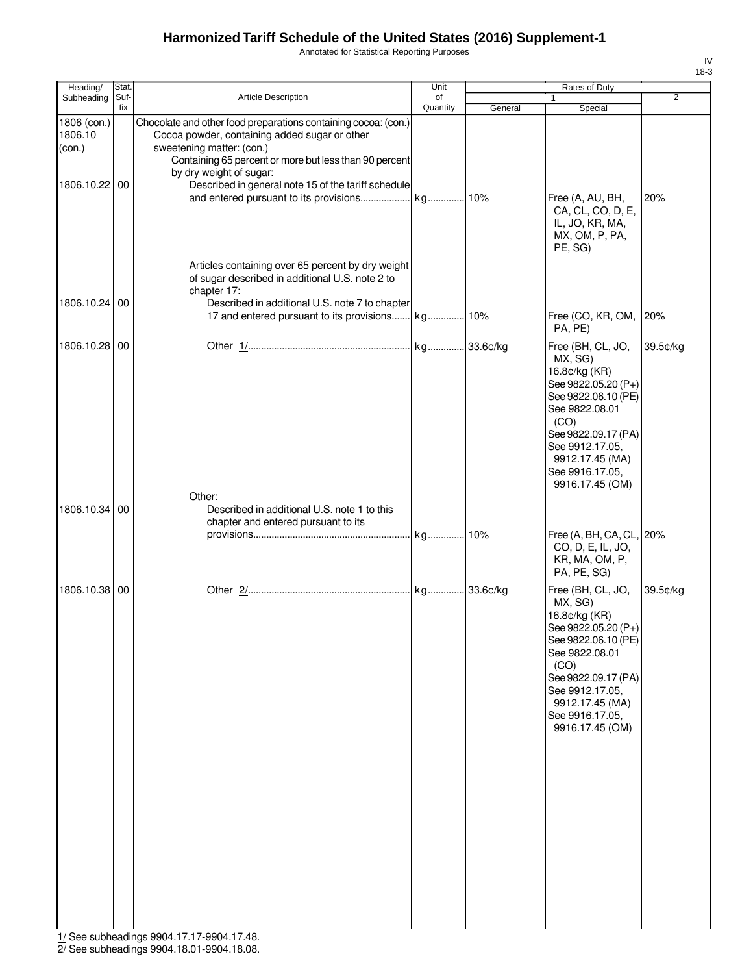Annotated for Statistical Reporting Purposes

| Heading/                                          | Stat. |                                                                                                                                                                                                                                                                                          | Unit     |         | Rates of Duty                                                                                                                                                                                                            |                |
|---------------------------------------------------|-------|------------------------------------------------------------------------------------------------------------------------------------------------------------------------------------------------------------------------------------------------------------------------------------------|----------|---------|--------------------------------------------------------------------------------------------------------------------------------------------------------------------------------------------------------------------------|----------------|
| Subheading                                        | Suf-  | Article Description                                                                                                                                                                                                                                                                      | of       |         | $\mathbf{1}$                                                                                                                                                                                                             | $\overline{2}$ |
| 1806 (con.)<br>1806.10<br>(con.)<br>1806.10.22 00 | fix   | Chocolate and other food preparations containing cocoa: (con.)<br>Cocoa powder, containing added sugar or other<br>sweetening matter: (con.)<br>Containing 65 percent or more but less than 90 percent<br>by dry weight of sugar:<br>Described in general note 15 of the tariff schedule | Quantity | General | Special                                                                                                                                                                                                                  |                |
|                                                   |       | Articles containing over 65 percent by dry weight<br>of sugar described in additional U.S. note 2 to                                                                                                                                                                                     |          |         | Free (A, AU, BH,<br>CA, CL, CO, D, E,<br>IL, JO, KR, MA,<br>MX, OM, P, PA,<br>PE, SG)                                                                                                                                    | 20%            |
| 1806.10.24 00                                     |       | chapter 17:<br>Described in additional U.S. note 7 to chapter                                                                                                                                                                                                                            |          |         | Free (CO, KR, OM, 20%<br>PA, PE)                                                                                                                                                                                         |                |
| 1806.10.28 00                                     |       |                                                                                                                                                                                                                                                                                          |          |         | Free (BH, CL, JO,<br>MX, SG)<br>16.8¢/kg (KR)<br>See 9822.05.20 (P+)<br>See 9822.06.10 (PE)<br>See 9822.08.01<br>(CO)<br>See 9822.09.17 (PA)<br>See 9912.17.05,<br>9912.17.45 (MA)<br>See 9916.17.05,<br>9916.17.45 (OM) | 39.5¢/kg       |
| 1806.10.34 00                                     |       | Other:<br>Described in additional U.S. note 1 to this<br>chapter and entered pursuant to its                                                                                                                                                                                             |          |         | Free (A, BH, CA, CL, 20%<br>CO, D, E, IL, JO,                                                                                                                                                                            |                |
|                                                   |       |                                                                                                                                                                                                                                                                                          |          |         | KR, MA, OM, P,<br>PA, PE, SG)                                                                                                                                                                                            |                |
| 1806.10.38 00                                     |       |                                                                                                                                                                                                                                                                                          |          |         | Free (BH, CL, JO,<br>MX, SG)<br>16.8¢/kg (KR)<br>See 9822.05.20 (P+)<br>See 9822.06.10 (PE)<br>See 9822.08.01<br>(CO)<br>See 9822.09.17 (PA)<br>See 9912.17.05,<br>9912.17.45 (MA)<br>See 9916.17.05,<br>9916.17.45 (OM) | 39.5¢/kg       |
|                                                   |       | 1/ See subheadings 9904.17.17-9904.17.48.                                                                                                                                                                                                                                                |          |         |                                                                                                                                                                                                                          |                |

2/ See subheadings 9904.18.01-9904.18.08.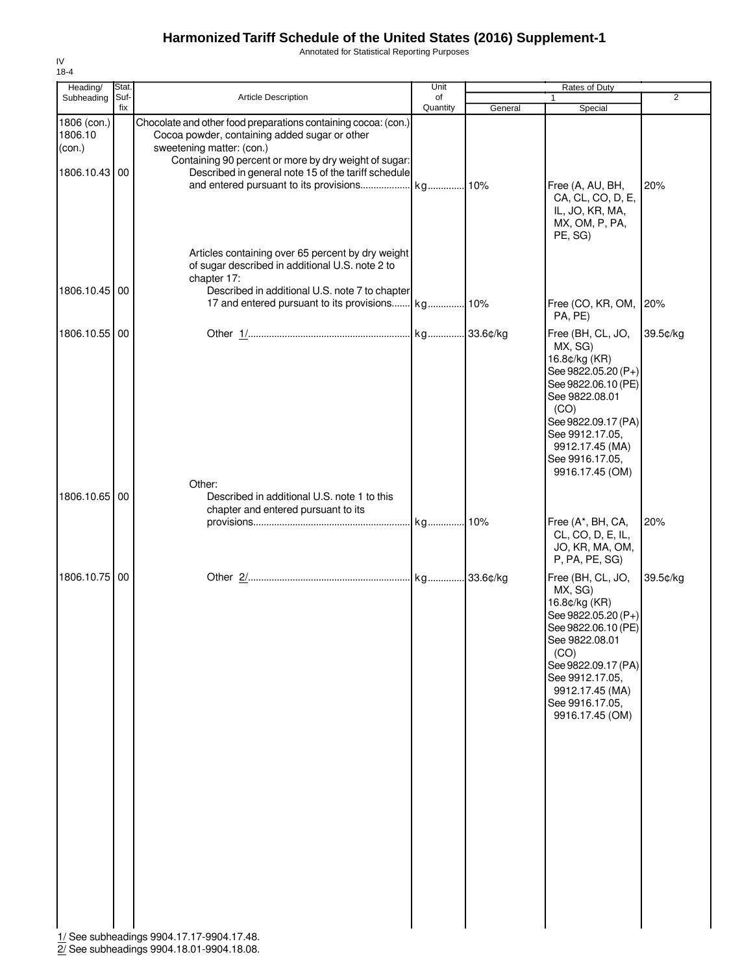Annotated for Statistical Reporting Purposes

| Heading/                         | Stat.       |                                                                                                                                                                                                                           | Unit           |         | Rates of Duty                                                                                                                                                                                                            |                |
|----------------------------------|-------------|---------------------------------------------------------------------------------------------------------------------------------------------------------------------------------------------------------------------------|----------------|---------|--------------------------------------------------------------------------------------------------------------------------------------------------------------------------------------------------------------------------|----------------|
| Subheading                       | Suf-<br>fix | <b>Article Description</b>                                                                                                                                                                                                | of<br>Quantity | General | 1<br>Special                                                                                                                                                                                                             | $\overline{2}$ |
| 1806 (con.)<br>1806.10<br>(con.) |             | Chocolate and other food preparations containing cocoa: (con.)<br>Cocoa powder, containing added sugar or other<br>sweetening matter: (con.)<br>Containing 90 percent or more by dry weight of sugar:                     |                |         |                                                                                                                                                                                                                          |                |
| 1806.10.43                       | 00          | Described in general note 15 of the tariff schedule                                                                                                                                                                       |                |         | Free (A, AU, BH,<br>CA, CL, CO, D, E,<br>IL, JO, KR, MA,<br>MX, OM, P, PA,<br>PE, SG)                                                                                                                                    | 20%            |
| 1806.10.45                       | 00          | Articles containing over 65 percent by dry weight<br>of sugar described in additional U.S. note 2 to<br>chapter 17:<br>Described in additional U.S. note 7 to chapter<br>17 and entered pursuant to its provisions kg 10% |                |         | Free (CO, KR, OM,                                                                                                                                                                                                        | 20%            |
|                                  |             |                                                                                                                                                                                                                           |                |         | PA, PE)                                                                                                                                                                                                                  |                |
| 1806.10.55                       | 00          |                                                                                                                                                                                                                           |                |         | Free (BH, CL, JO,<br>MX, SG)<br>16.8¢/kg (KR)<br>See 9822.05.20 (P+)<br>See 9822.06.10 (PE)<br>See 9822.08.01<br>(CO)<br>See 9822.09.17 (PA)<br>See 9912.17.05,<br>9912.17.45 (MA)<br>See 9916.17.05,<br>9916.17.45 (OM) | 39.5¢/kg       |
| 1806.10.65                       | 00          | Other:<br>Described in additional U.S. note 1 to this                                                                                                                                                                     |                |         |                                                                                                                                                                                                                          |                |
|                                  |             | chapter and entered pursuant to its                                                                                                                                                                                       |                |         |                                                                                                                                                                                                                          |                |
|                                  |             |                                                                                                                                                                                                                           | kg 10%         |         | Free (A*, BH, CA,<br>CL, CO, D, E, IL,<br>JO, KR, MA, OM,<br>P, PA, PE, SG)                                                                                                                                              | 20%            |
| 1806.10.75 00                    |             | 1/ See subheadings 9904.17.17-9904.17.48.                                                                                                                                                                                 |                |         | Free (BH, CL, JO,<br>MX, SG)<br>16.8¢/kg (KR)<br>See 9822.05.20 (P+)<br>See 9822.06.10 (PE)<br>See 9822.08.01<br>(CO)<br>See 9822.09.17 (PA)<br>See 9912.17.05,<br>9912.17.45 (MA)<br>See 9916.17.05,<br>9916.17.45 (OM) | 39.5¢/kg       |

2/ See subheadings 9904.18.01-9904.18.08.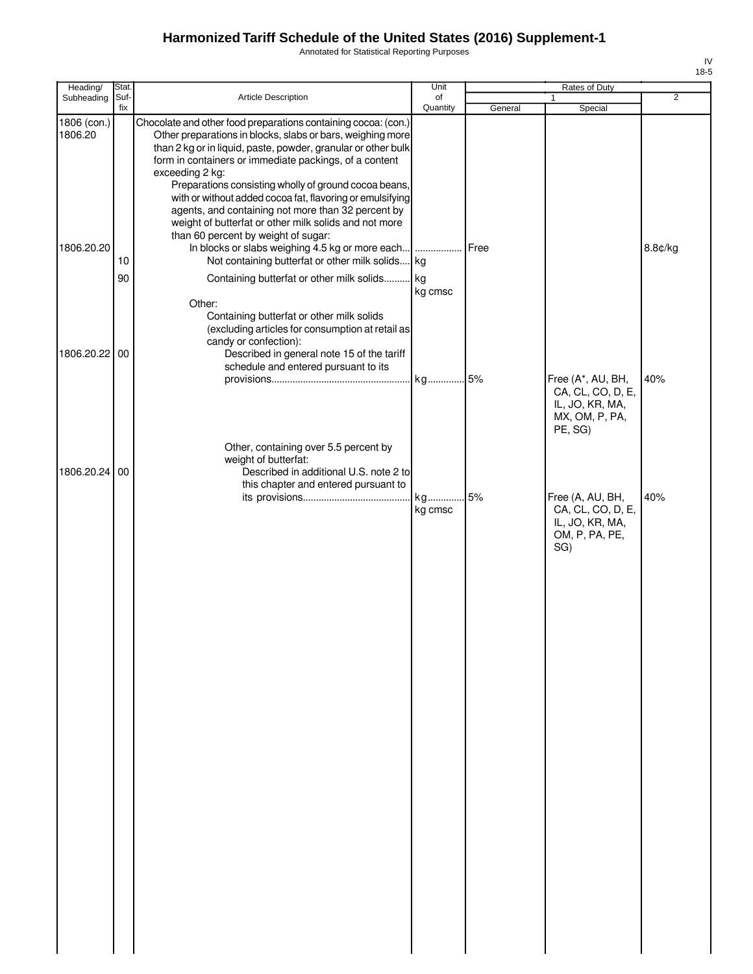Annotated for Statistical Reporting Purposes

| Heading/                             | Stat.       |                                                                                                                                                                                                                                                                                                                                                                                                                                                                                                                                                                                                                                                               | Unit           |         | Rates of Duty                                                                     |                |
|--------------------------------------|-------------|---------------------------------------------------------------------------------------------------------------------------------------------------------------------------------------------------------------------------------------------------------------------------------------------------------------------------------------------------------------------------------------------------------------------------------------------------------------------------------------------------------------------------------------------------------------------------------------------------------------------------------------------------------------|----------------|---------|-----------------------------------------------------------------------------------|----------------|
| Subheading                           | Suf-<br>fix | Article Description                                                                                                                                                                                                                                                                                                                                                                                                                                                                                                                                                                                                                                           | of<br>Quantity | General | 1<br>Special                                                                      | $\overline{2}$ |
| 1806 (con.)<br>1806.20<br>1806.20.20 | 10          | Chocolate and other food preparations containing cocoa: (con.)<br>Other preparations in blocks, slabs or bars, weighing more<br>than 2 kg or in liquid, paste, powder, granular or other bulk<br>form in containers or immediate packings, of a content<br>exceeding 2 kg:<br>Preparations consisting wholly of ground cocoa beans,<br>with or without added cocoa fat, flavoring or emulsifying<br>agents, and containing not more than 32 percent by<br>weight of butterfat or other milk solids and not more<br>than 60 percent by weight of sugar:<br>In blocks or slabs weighing 4.5 kg or more each<br>Not containing butterfat or other milk solids kg | .              | Free    |                                                                                   | 8.8¢/kg        |
|                                      | 90          | Containing butterfat or other milk solids                                                                                                                                                                                                                                                                                                                                                                                                                                                                                                                                                                                                                     | kg             |         |                                                                                   |                |
| 1806.20.22 00                        |             | Other:<br>Containing butterfat or other milk solids<br>(excluding articles for consumption at retail as<br>candy or confection):<br>Described in general note 15 of the tariff                                                                                                                                                                                                                                                                                                                                                                                                                                                                                | kg cmsc        |         |                                                                                   |                |
|                                      |             | schedule and entered pursuant to its                                                                                                                                                                                                                                                                                                                                                                                                                                                                                                                                                                                                                          | kg 5%          |         | Free (A*, AU, BH,                                                                 | 40%            |
|                                      |             | Other, containing over 5.5 percent by                                                                                                                                                                                                                                                                                                                                                                                                                                                                                                                                                                                                                         |                |         | CA, CL, CO, D, E,<br>IL, JO, KR, MA,<br>MX, OM, P, PA,<br>PE, SG)                 |                |
| 1806.20.24                           | 00          | weight of butterfat:<br>Described in additional U.S. note 2 to                                                                                                                                                                                                                                                                                                                                                                                                                                                                                                                                                                                                |                |         |                                                                                   |                |
|                                      |             | this chapter and entered pursuant to                                                                                                                                                                                                                                                                                                                                                                                                                                                                                                                                                                                                                          |                |         |                                                                                   |                |
|                                      |             |                                                                                                                                                                                                                                                                                                                                                                                                                                                                                                                                                                                                                                                               | kg<br>kg cmsc  | .5%     | Free (A, AU, BH,<br>CA, CL, CO, D, E,<br>IL, JO, KR, MA,<br>OM, P, PA, PE,<br>SG) | 40%            |
|                                      |             |                                                                                                                                                                                                                                                                                                                                                                                                                                                                                                                                                                                                                                                               |                |         |                                                                                   |                |
|                                      |             |                                                                                                                                                                                                                                                                                                                                                                                                                                                                                                                                                                                                                                                               |                |         |                                                                                   |                |
|                                      |             |                                                                                                                                                                                                                                                                                                                                                                                                                                                                                                                                                                                                                                                               |                |         |                                                                                   |                |
|                                      |             |                                                                                                                                                                                                                                                                                                                                                                                                                                                                                                                                                                                                                                                               |                |         |                                                                                   |                |
|                                      |             |                                                                                                                                                                                                                                                                                                                                                                                                                                                                                                                                                                                                                                                               |                |         |                                                                                   |                |
|                                      |             |                                                                                                                                                                                                                                                                                                                                                                                                                                                                                                                                                                                                                                                               |                |         |                                                                                   |                |
|                                      |             |                                                                                                                                                                                                                                                                                                                                                                                                                                                                                                                                                                                                                                                               |                |         |                                                                                   |                |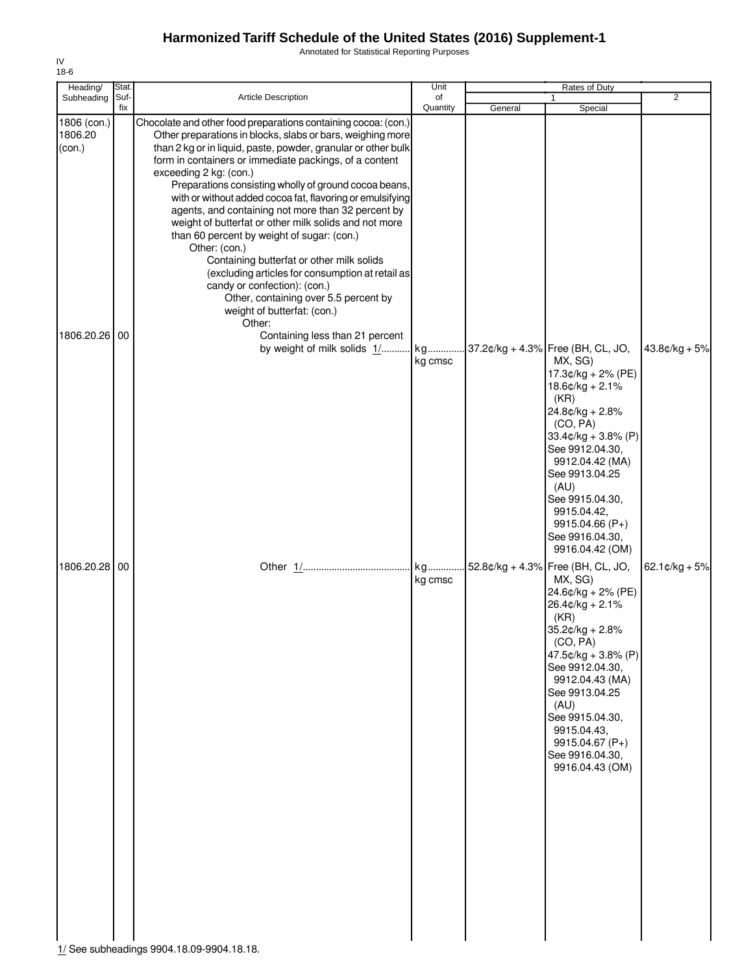Annotated for Statistical Reporting Purposes

| Heading/                                          | Stat.       |                                                                                                                                                                                                                                                                                                                                                                                                                                                                                                                                                                                                                                                                                                                                                                                                                                                                               | Unit           |         | Rates of Duty                                                                                                                                                                                                                                                                                                          |                             |
|---------------------------------------------------|-------------|-------------------------------------------------------------------------------------------------------------------------------------------------------------------------------------------------------------------------------------------------------------------------------------------------------------------------------------------------------------------------------------------------------------------------------------------------------------------------------------------------------------------------------------------------------------------------------------------------------------------------------------------------------------------------------------------------------------------------------------------------------------------------------------------------------------------------------------------------------------------------------|----------------|---------|------------------------------------------------------------------------------------------------------------------------------------------------------------------------------------------------------------------------------------------------------------------------------------------------------------------------|-----------------------------|
| Subheading                                        | Suf-<br>fix | <b>Article Description</b>                                                                                                                                                                                                                                                                                                                                                                                                                                                                                                                                                                                                                                                                                                                                                                                                                                                    | of<br>Quantity | General | $\mathbf{1}$<br>Special                                                                                                                                                                                                                                                                                                | $\overline{2}$              |
| 1806 (con.)<br>1806.20<br>(con.)<br>1806.20.26 00 |             | Chocolate and other food preparations containing cocoa: (con.)<br>Other preparations in blocks, slabs or bars, weighing more<br>than 2 kg or in liquid, paste, powder, granular or other bulk<br>form in containers or immediate packings, of a content<br>exceeding 2 kg: (con.)<br>Preparations consisting wholly of ground cocoa beans,<br>with or without added cocoa fat, flavoring or emulsifying<br>agents, and containing not more than 32 percent by<br>weight of butterfat or other milk solids and not more<br>than 60 percent by weight of sugar: (con.)<br>Other: (con.)<br>Containing butterfat or other milk solids<br>(excluding articles for consumption at retail as<br>candy or confection): (con.)<br>Other, containing over 5.5 percent by<br>weight of butterfat: (con.)<br>Other:<br>Containing less than 21 percent<br>by weight of milk solids 1/ kg | kg cmsc        |         | 37.2¢/kg + 4.3% Free (BH, CL, JO,<br>MX, SG)<br>17.3¢/kg + 2% (PE)<br>$18.6$ ¢/kg + 2.1%<br>(KR)<br>$24.8¢/kg + 2.8%$<br>(CO, PA)<br>$33.4$ ¢/kg + 3.8% (P)<br>See 9912.04.30,<br>9912.04.42 (MA)<br>See 9913.04.25<br>(AU)<br>See 9915.04.30,<br>9915.04.42,<br>9915.04.66 (P+)<br>See 9916.04.30,<br>9916.04.42 (OM) | $43.8¢/kg + 5%$             |
| 1806.20.28                                        | 00          | 1/ See subheadings 9904.18.09-9904.18.18.                                                                                                                                                                                                                                                                                                                                                                                                                                                                                                                                                                                                                                                                                                                                                                                                                                     | kg cmsc        |         | 52.8¢/kg + 4.3% Free (BH, CL, JO,<br>MX, SG)<br>24.6¢/kg + 2% (PE)<br>$26.4$ ¢/kg + 2.1%<br>(KR)<br>35.2¢/kg + 2.8%<br>(CO, PA)<br>$47.5¢/kg + 3.8% (P)$<br>See 9912.04.30,<br>9912.04.43 (MA)<br>See 9913.04.25<br>(AU)<br>See 9915.04.30,<br>9915.04.43.<br>9915.04.67 (P+)<br>See 9916.04.30,<br>9916.04.43 (OM)    | $62.1 \, \text{c/kg} + 5\%$ |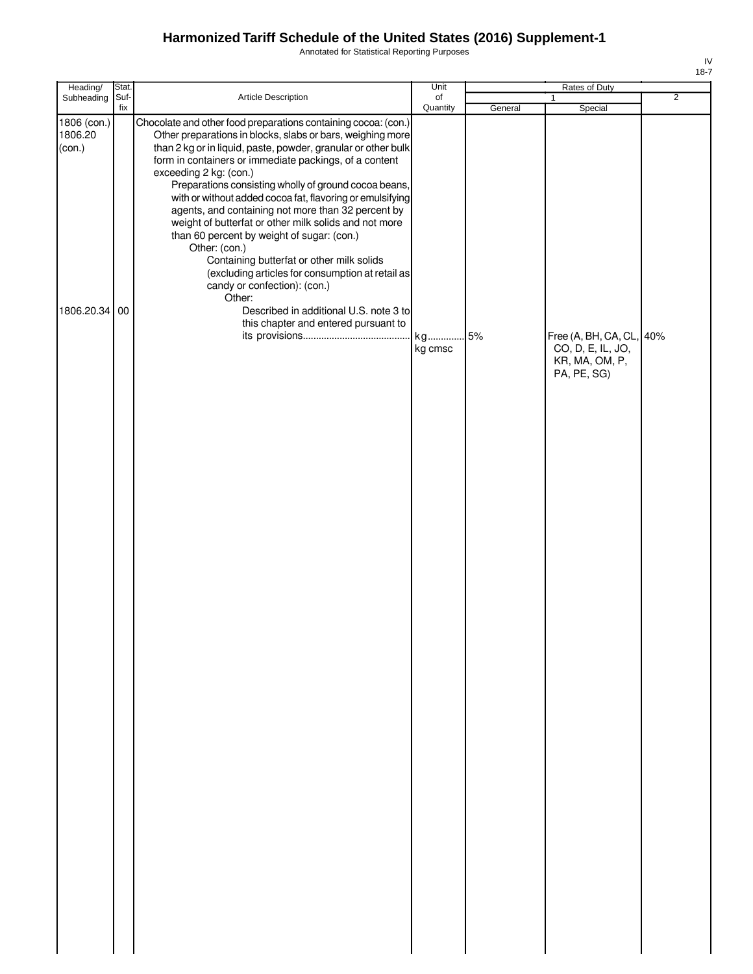Annotated for Statistical Reporting Purposes

| Heading/                         | Stat.       |                                                                                                                                                                                                                                                                                                                                                                                                                                                                                                                                                                                                                                                                                                                                  | Unit           |         | Rates of Duty                                                                  |   |
|----------------------------------|-------------|----------------------------------------------------------------------------------------------------------------------------------------------------------------------------------------------------------------------------------------------------------------------------------------------------------------------------------------------------------------------------------------------------------------------------------------------------------------------------------------------------------------------------------------------------------------------------------------------------------------------------------------------------------------------------------------------------------------------------------|----------------|---------|--------------------------------------------------------------------------------|---|
| Subheading                       | Suf-<br>fix | Article Description                                                                                                                                                                                                                                                                                                                                                                                                                                                                                                                                                                                                                                                                                                              | of<br>Quantity | General | $\mathbf{1}$<br>Special                                                        | 2 |
| 1806 (con.)<br>1806.20<br>(con.) |             | Chocolate and other food preparations containing cocoa: (con.)<br>Other preparations in blocks, slabs or bars, weighing more<br>than 2 kg or in liquid, paste, powder, granular or other bulk<br>form in containers or immediate packings, of a content<br>exceeding 2 kg: (con.)<br>Preparations consisting wholly of ground cocoa beans,<br>with or without added cocoa fat, flavoring or emulsifying<br>agents, and containing not more than 32 percent by<br>weight of butterfat or other milk solids and not more<br>than 60 percent by weight of sugar: (con.)<br>Other: (con.)<br>Containing butterfat or other milk solids<br>(excluding articles for consumption at retail as<br>candy or confection): (con.)<br>Other: |                |         |                                                                                |   |
| 1806.20.34 00                    |             | Described in additional U.S. note 3 to<br>this chapter and entered pursuant to                                                                                                                                                                                                                                                                                                                                                                                                                                                                                                                                                                                                                                                   | kg cmsc        | 5%      | Free (A, BH, CA, CL, 40%<br>CO, D, E, IL, JO,<br>KR, MA, OM, P,<br>PA, PE, SG) |   |
|                                  |             |                                                                                                                                                                                                                                                                                                                                                                                                                                                                                                                                                                                                                                                                                                                                  |                |         |                                                                                |   |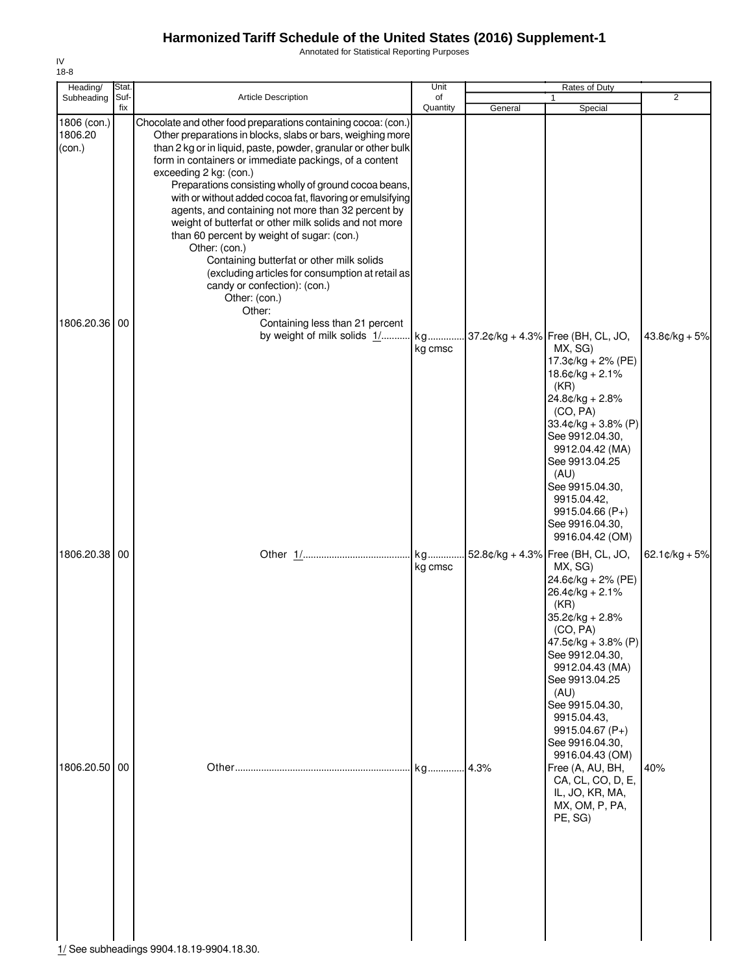Annotated for Statistical Reporting Purposes

| Heading/                         | Stat.       |                                                                                                                                                                                                                                                                                                                                                                                                                                                                                                                                                                                                                                                                                                                                                   | Unit           |         | Rates of Duty                                                                                                                                                                                                                                                                     |                          |
|----------------------------------|-------------|---------------------------------------------------------------------------------------------------------------------------------------------------------------------------------------------------------------------------------------------------------------------------------------------------------------------------------------------------------------------------------------------------------------------------------------------------------------------------------------------------------------------------------------------------------------------------------------------------------------------------------------------------------------------------------------------------------------------------------------------------|----------------|---------|-----------------------------------------------------------------------------------------------------------------------------------------------------------------------------------------------------------------------------------------------------------------------------------|--------------------------|
| Subheading                       | Suf-<br>fix | Article Description                                                                                                                                                                                                                                                                                                                                                                                                                                                                                                                                                                                                                                                                                                                               | of<br>Quantity | General | Special                                                                                                                                                                                                                                                                           | $\overline{2}$           |
| 1806 (con.)<br>1806.20<br>(con.) |             | Chocolate and other food preparations containing cocoa: (con.)<br>Other preparations in blocks, slabs or bars, weighing more<br>than 2 kg or in liquid, paste, powder, granular or other bulk<br>form in containers or immediate packings, of a content<br>exceeding 2 kg: (con.)<br>Preparations consisting wholly of ground cocoa beans,<br>with or without added cocoa fat, flavoring or emulsifying<br>agents, and containing not more than 32 percent by<br>weight of butterfat or other milk solids and not more<br>than 60 percent by weight of sugar: (con.)<br>Other: (con.)<br>Containing butterfat or other milk solids<br>(excluding articles for consumption at retail as<br>candy or confection): (con.)<br>Other: (con.)<br>Other: |                |         |                                                                                                                                                                                                                                                                                   |                          |
| 1806.20.36                       | 00          | Containing less than 21 percent<br>by weight of milk solids 1/                                                                                                                                                                                                                                                                                                                                                                                                                                                                                                                                                                                                                                                                                    | kg             |         | 37.2¢/kg + 4.3% Free (BH, CL, JO,                                                                                                                                                                                                                                                 | $43.8¢/kg + 5%$          |
|                                  |             |                                                                                                                                                                                                                                                                                                                                                                                                                                                                                                                                                                                                                                                                                                                                                   | kg cmsc        |         | MX, SG)<br>17.3¢/kg + 2% (PE)<br>$18.6$ ¢/kg + 2.1%<br>(KR)<br>$24.8¢/kg + 2.8%$<br>(CO, PA)<br>$33.4$ ¢/kg + 3.8% (P)<br>See 9912.04.30,<br>9912.04.42 (MA)<br>See 9913.04.25<br>(AU)<br>See 9915.04.30,<br>9915.04.42,<br>9915.04.66 (P+)<br>See 9916.04.30,<br>9916.04.42 (OM) |                          |
| 1806.20.38 00                    |             |                                                                                                                                                                                                                                                                                                                                                                                                                                                                                                                                                                                                                                                                                                                                                   | kg<br>kg cmsc  |         | 52.8¢/kg + 4.3% Free (BH, CL, JO,<br>MX, SG)                                                                                                                                                                                                                                      | 62.1 $\text{c/kg} + 5\%$ |
|                                  |             |                                                                                                                                                                                                                                                                                                                                                                                                                                                                                                                                                                                                                                                                                                                                                   |                |         | 24.6¢/kg + 2% (PE)<br>26.4¢/kg + 2.1%<br>(KR)<br>35.2¢/kg + 2.8%<br>(CO, PA)<br>$47.5¢/kg + 3.8% (P)$<br>See 9912.04.30,<br>9912.04.43 (MA)<br>See 9913.04.25<br>(AU)<br>See 9915.04.30.<br>9915.04.43,<br>9915.04.67 (P+)<br>See 9916.04.30,<br>9916.04.43 (OM)                  |                          |
| 1806.20.50                       | 00          | 1/ See subheadings 9904.18.19-9904.18.30.                                                                                                                                                                                                                                                                                                                                                                                                                                                                                                                                                                                                                                                                                                         | kg             | 4.3%    | Free (A, AU, BH,<br>CA, CL, CO, D, E,<br>IL, JO, KR, MA,<br>MX, OM, P, PA,<br>PE, SG)                                                                                                                                                                                             | 40%                      |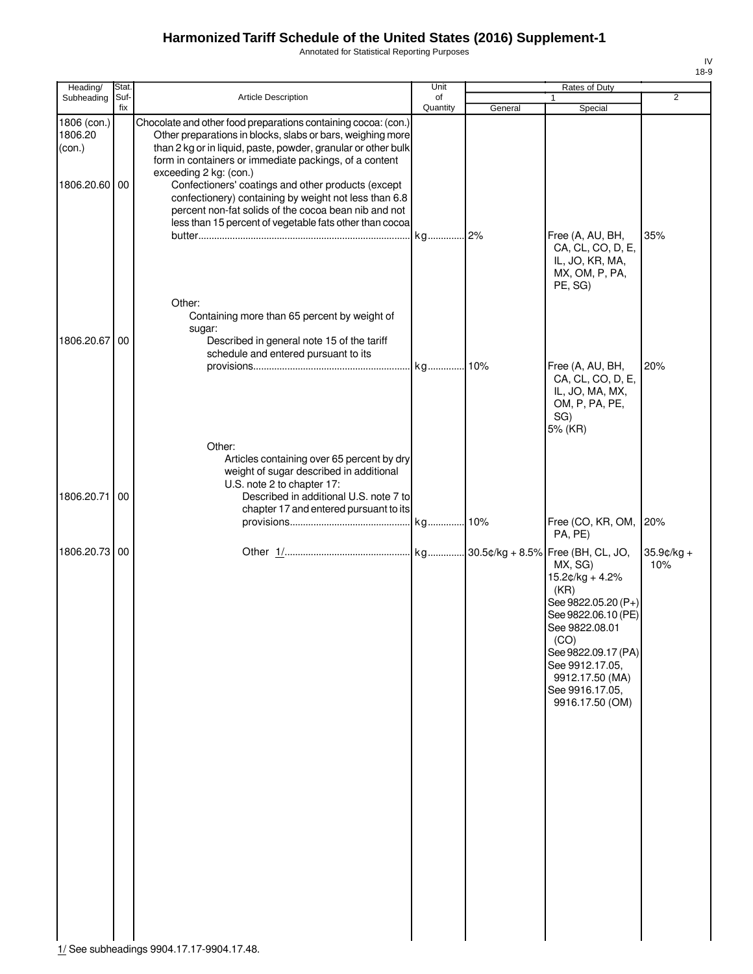Annotated for Statistical Reporting Purposes

| Heading/                                          | Stat.           |                                                                                                                                                                                                                                                                                                                                                                                                                                                                                                                     | Unit           |         | Rates of Duty                                                                                                                                                                                                   |                      |
|---------------------------------------------------|-----------------|---------------------------------------------------------------------------------------------------------------------------------------------------------------------------------------------------------------------------------------------------------------------------------------------------------------------------------------------------------------------------------------------------------------------------------------------------------------------------------------------------------------------|----------------|---------|-----------------------------------------------------------------------------------------------------------------------------------------------------------------------------------------------------------------|----------------------|
| Subheading                                        | Suf-<br>fix     | <b>Article Description</b>                                                                                                                                                                                                                                                                                                                                                                                                                                                                                          | of<br>Quantity | General | 1<br>Special                                                                                                                                                                                                    | $\overline{2}$       |
| 1806 (con.)<br>1806.20<br>(con.)<br>1806.20.60 00 |                 | Chocolate and other food preparations containing cocoa: (con.)<br>Other preparations in blocks, slabs or bars, weighing more<br>than 2 kg or in liquid, paste, powder, granular or other bulk<br>form in containers or immediate packings, of a content<br>exceeding 2 kg: (con.)<br>Confectioners' coatings and other products (except<br>confectionery) containing by weight not less than 6.8<br>percent non-fat solids of the cocoa bean nib and not<br>less than 15 percent of vegetable fats other than cocoa |                |         |                                                                                                                                                                                                                 |                      |
| 1806.20.67                                        | 00              | Other:<br>Containing more than 65 percent by weight of<br>sugar:<br>Described in general note 15 of the tariff                                                                                                                                                                                                                                                                                                                                                                                                      |                |         | Free (A, AU, BH,<br>CA, CL, CO, D, E,<br>IL, JO, KR, MA,<br>MX, OM, P, PA,<br>PE, SG)                                                                                                                           | 35%                  |
|                                                   |                 | schedule and entered pursuant to its<br>Other:                                                                                                                                                                                                                                                                                                                                                                                                                                                                      |                |         | Free (A, AU, BH,<br>CA, CL, CO, D, E,<br>IL, JO, MA, MX,<br>OM, P, PA, PE,<br>SG)<br>5% (KR)                                                                                                                    | 20%                  |
| 1806.20.71                                        | $\overline{00}$ | Articles containing over 65 percent by dry<br>weight of sugar described in additional<br>U.S. note 2 to chapter 17:<br>Described in additional U.S. note 7 to<br>chapter 17 and entered pursuant to its                                                                                                                                                                                                                                                                                                             |                |         | Free (CO, KR, OM,<br>PA, PE)                                                                                                                                                                                    | 20%                  |
| 1806.20.73 00                                     |                 |                                                                                                                                                                                                                                                                                                                                                                                                                                                                                                                     |                |         | MX, SG)<br>$15.2¢/kg + 4.2%$<br>(KR)<br>See 9822.05.20 (P+)<br>See 9822.06.10 (PE)<br>See 9822.08.01<br>(CO)<br>See 9822.09.17 (PA)<br>See 9912.17.05.<br>9912.17.50 (MA)<br>See 9916.17.05,<br>9916.17.50 (OM) | $35.9$ ¢/kg +<br>10% |

 $\frac{1}{16}$  See subheadings 9904.17.17-9904.17.48.

IV 18-9Ŧ.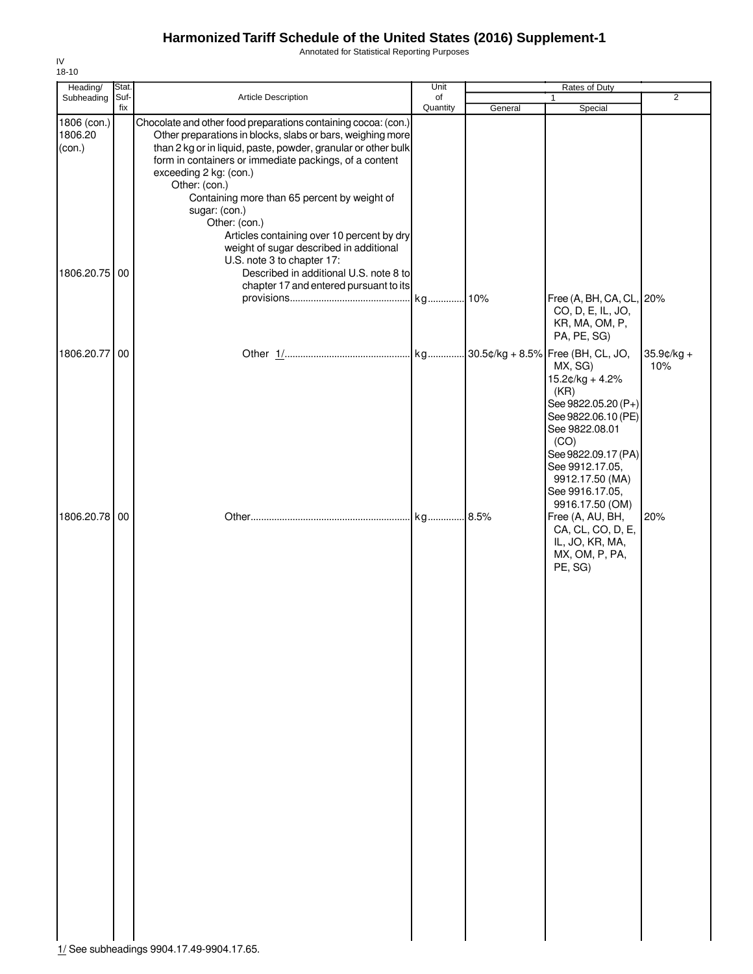Annotated for Statistical Reporting Purposes

| Heading/                                       | Stat.       |                                                                                                                                                                                                                                                                                                                                                                                                                                                                                                                                                                                                 | Unit           |         | Rates of Duty                                                                                                                                                                                    |                   |
|------------------------------------------------|-------------|-------------------------------------------------------------------------------------------------------------------------------------------------------------------------------------------------------------------------------------------------------------------------------------------------------------------------------------------------------------------------------------------------------------------------------------------------------------------------------------------------------------------------------------------------------------------------------------------------|----------------|---------|--------------------------------------------------------------------------------------------------------------------------------------------------------------------------------------------------|-------------------|
| Subheading                                     | Suf-<br>fix | Article Description                                                                                                                                                                                                                                                                                                                                                                                                                                                                                                                                                                             | of<br>Quantity | General | Special                                                                                                                                                                                          | $\overline{2}$    |
| 1806 (con.)<br>1806.20<br>(con.)<br>1806.20.75 | 00          | Chocolate and other food preparations containing cocoa: (con.)<br>Other preparations in blocks, slabs or bars, weighing more<br>than 2 kg or in liquid, paste, powder, granular or other bulk<br>form in containers or immediate packings, of a content<br>exceeding 2 kg: (con.)<br>Other: (con.)<br>Containing more than 65 percent by weight of<br>sugar: (con.)<br>Other: (con.)<br>Articles containing over 10 percent by dry<br>weight of sugar described in additional<br>U.S. note 3 to chapter 17:<br>Described in additional U.S. note 8 to<br>chapter 17 and entered pursuant to its |                |         | Free (A, BH, CA, CL, 20%<br>CO, D, E, IL, JO,                                                                                                                                                    |                   |
| 1806.20.77                                     | 00          |                                                                                                                                                                                                                                                                                                                                                                                                                                                                                                                                                                                                 |                |         | KR, MA, OM, P,<br>PA, PE, SG)<br>MX, SG)<br>15.2¢/kg + 4.2%<br>(KR)<br>See 9822.05.20 (P+)<br>See 9822.06.10 (PE)<br>See 9822.08.01                                                              | 35.9¢/kg +<br>10% |
| 1806.20.78 00                                  |             |                                                                                                                                                                                                                                                                                                                                                                                                                                                                                                                                                                                                 | kg             | .8.5%   | (CO)<br>See 9822.09.17 (PA)<br>See 9912.17.05,<br>9912.17.50 (MA)<br>See 9916.17.05,<br>9916.17.50 (OM)<br>Free (A, AU, BH,<br>CA, CL, CO, D, E,<br>IL, JO, KR, MA,<br>MX, OM, P, PA,<br>PE, SG) | 20%               |
|                                                |             |                                                                                                                                                                                                                                                                                                                                                                                                                                                                                                                                                                                                 |                |         |                                                                                                                                                                                                  |                   |
|                                                |             |                                                                                                                                                                                                                                                                                                                                                                                                                                                                                                                                                                                                 |                |         |                                                                                                                                                                                                  |                   |
|                                                |             | 1/ See subheadings 9904.17.49-9904.17.65.                                                                                                                                                                                                                                                                                                                                                                                                                                                                                                                                                       |                |         |                                                                                                                                                                                                  |                   |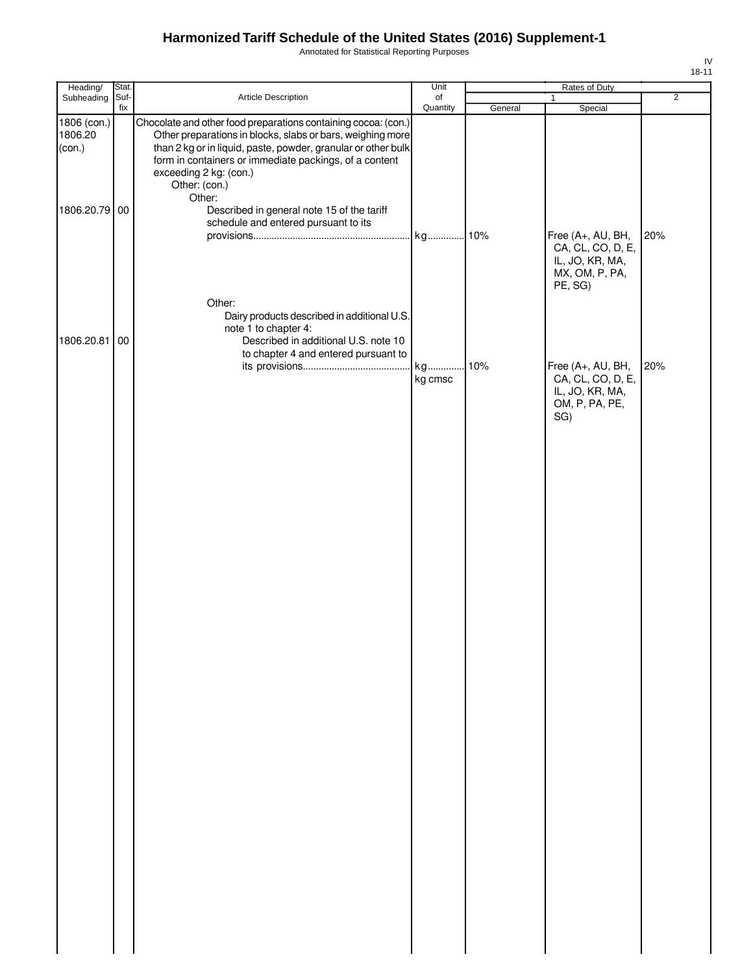Annotated for Statistical Reporting Purposes

| 8<br>ı | 1. |
|--------|----|

| Heading/                         | Stat. |                                                                                                                                                                                                                                                                                                    | Unit          | Rates of Duty |                                                                                        |                |
|----------------------------------|-------|----------------------------------------------------------------------------------------------------------------------------------------------------------------------------------------------------------------------------------------------------------------------------------------------------|---------------|---------------|----------------------------------------------------------------------------------------|----------------|
| Subheading                       | Suf-  | Article Description                                                                                                                                                                                                                                                                                | of            |               | $\mathbf{1}$                                                                           | $\overline{2}$ |
| 1806 (con.)<br>1806.20<br>(con.) | fix   | Chocolate and other food preparations containing cocoa: (con.)<br>Other preparations in blocks, slabs or bars, weighing more<br>than 2 kg or in liquid, paste, powder, granular or other bulk<br>form in containers or immediate packings, of a content<br>exceeding 2 kg: (con.)<br>Other: (con.) | Quantity      | General       | Special                                                                                |                |
| 1806.20.79 00                    |       | Other:<br>Described in general note 15 of the tariff<br>schedule and entered pursuant to its                                                                                                                                                                                                       | kg            | 10%           | Free (A+, AU, BH,<br>CA, CL, CO, D, E,<br>IL, JO, KR, MA,<br>MX, OM, P, PA,<br>PE, SG) | 20%            |
| 1806.20.81                       | 00    | Other:<br>Dairy products described in additional U.S.<br>note 1 to chapter 4:<br>Described in additional U.S. note 10<br>to chapter 4 and entered pursuant to                                                                                                                                      | kg<br>kg cmsc | 10%           | Free (A+, AU, BH,<br>CA, CL, CO, D, E,                                                 | 20%            |
|                                  |       |                                                                                                                                                                                                                                                                                                    |               |               | IL, JO, KR, MA,<br>OM, P, PA, PE,<br>SG)                                               |                |
|                                  |       |                                                                                                                                                                                                                                                                                                    |               |               |                                                                                        |                |
|                                  |       |                                                                                                                                                                                                                                                                                                    |               |               |                                                                                        |                |
|                                  |       |                                                                                                                                                                                                                                                                                                    |               |               |                                                                                        |                |
|                                  |       |                                                                                                                                                                                                                                                                                                    |               |               |                                                                                        |                |
|                                  |       |                                                                                                                                                                                                                                                                                                    |               |               |                                                                                        |                |
|                                  |       |                                                                                                                                                                                                                                                                                                    |               |               |                                                                                        |                |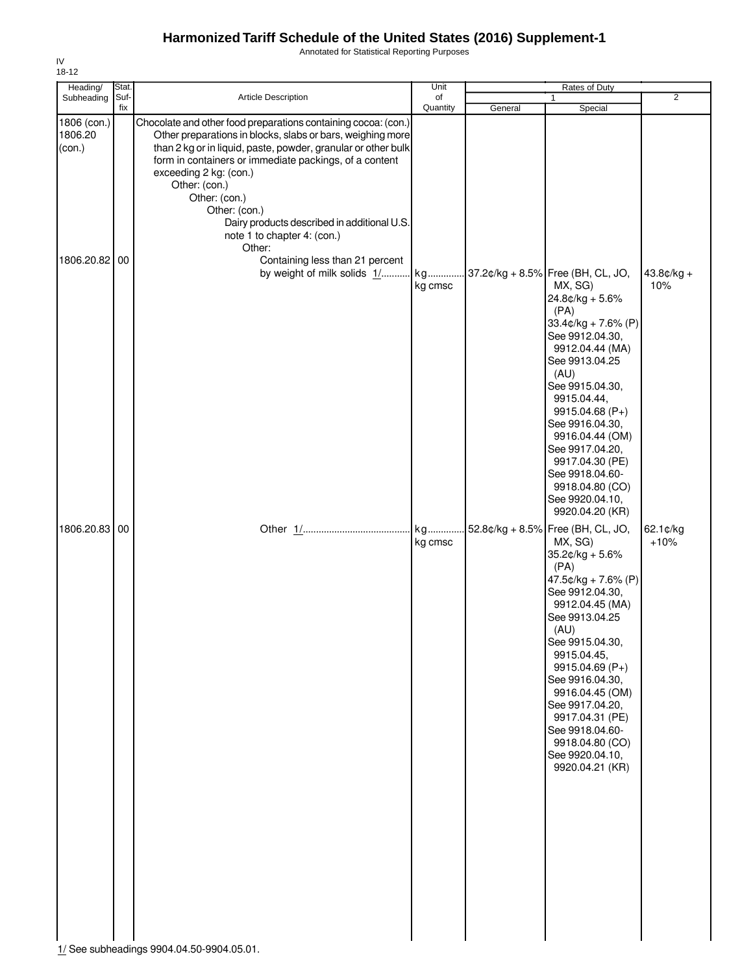Annotated for Statistical Reporting Purposes

| Heading/                                       | Stat.       |                                                                                                                                                                                                                                                                                                                                                                                                                                                                                                | Unit           |         | Rates of Duty                                                                                                                                                                                                                                                                                                                                                                 |                       |
|------------------------------------------------|-------------|------------------------------------------------------------------------------------------------------------------------------------------------------------------------------------------------------------------------------------------------------------------------------------------------------------------------------------------------------------------------------------------------------------------------------------------------------------------------------------------------|----------------|---------|-------------------------------------------------------------------------------------------------------------------------------------------------------------------------------------------------------------------------------------------------------------------------------------------------------------------------------------------------------------------------------|-----------------------|
| Subheading                                     | Suf-<br>fix | Article Description                                                                                                                                                                                                                                                                                                                                                                                                                                                                            | of<br>Quantity | General | Special                                                                                                                                                                                                                                                                                                                                                                       | $\overline{2}$        |
| 1806 (con.)<br>1806.20<br>(con.)<br>1806.20.82 | 00          | Chocolate and other food preparations containing cocoa: (con.)<br>Other preparations in blocks, slabs or bars, weighing more<br>than 2 kg or in liquid, paste, powder, granular or other bulk<br>form in containers or immediate packings, of a content<br>exceeding 2 kg: (con.)<br>Other: (con.)<br>Other: (con.)<br>Other: (con.)<br>Dairy products described in additional U.S.<br>note 1 to chapter 4: (con.)<br>Other:<br>Containing less than 21 percent<br>by weight of milk solids 1/ | kg             |         | 37.2¢/kg + 8.5% Free (BH, CL, JO,                                                                                                                                                                                                                                                                                                                                             | $43.8¢/kg +$          |
|                                                |             |                                                                                                                                                                                                                                                                                                                                                                                                                                                                                                | kg cmsc        |         | MX, SG)<br>$24.8¢/kg + 5.6%$<br>(PA)<br>$33.4$ ¢/kg + 7.6% (P)<br>See 9912.04.30,<br>9912.04.44 (MA)<br>See 9913.04.25<br>(AU)<br>See 9915.04.30,<br>9915.04.44,<br>9915.04.68 (P+)<br>See 9916.04.30,<br>9916.04.44 (OM)<br>See 9917.04.20,<br>9917.04.30 (PE)<br>See 9918.04.60-<br>9918.04.80 (CO)<br>See 9920.04.10,<br>9920.04.20 (KR)                                   | 10%                   |
| 1806.20.83 00                                  |             | 1/ See subheadings 9904.04.50-9904.05.01.                                                                                                                                                                                                                                                                                                                                                                                                                                                      | kg<br>kg cmsc  |         | 52.8¢/kg + 8.5% Free (BH, CL, JO,<br>MX, SG)<br>35.2¢/kg + 5.6%<br>(PA)<br>$47.5¢/kg + 7.6% (P)$<br>See 9912.04.30,<br>9912.04.45 (MA)<br>See 9913.04.25<br>(AU)<br>See 9915.04.30,<br>9915.04.45,<br>9915.04.69 (P+)<br>See 9916.04.30,<br>9916.04.45 (OM)<br>See 9917.04.20,<br>9917.04.31 (PE)<br>See 9918.04.60-<br>9918.04.80 (CO)<br>See 9920.04.10,<br>9920.04.21 (KR) | $62.1$ ¢/kg<br>$+10%$ |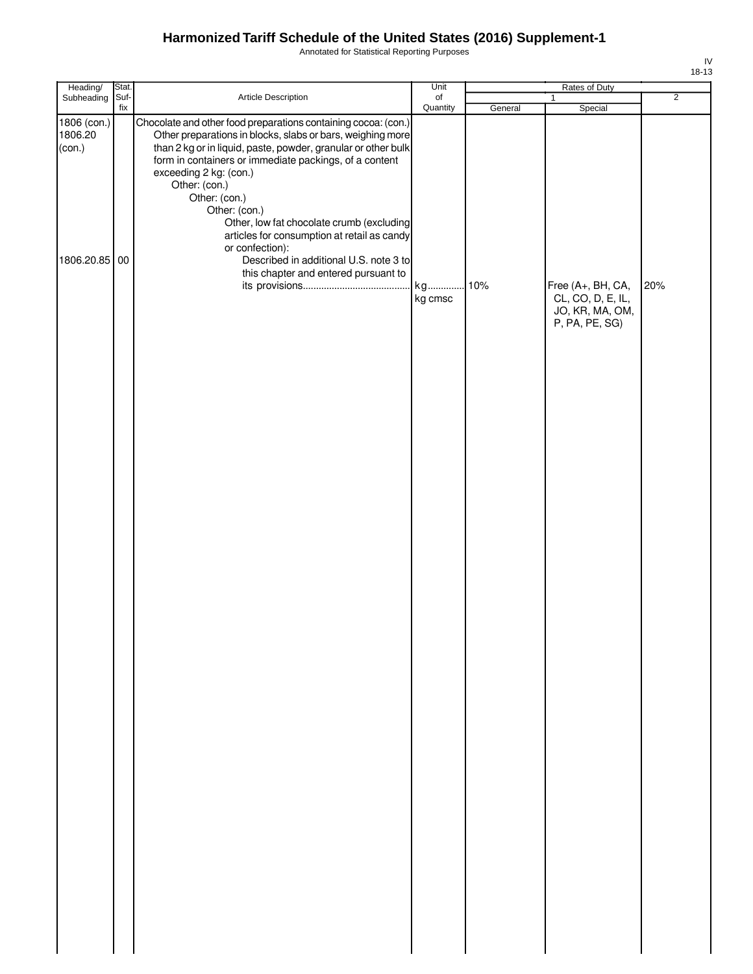Annotated for Statistical Reporting Purposes

| Heading/                         | Stat.       |                                                                                                                                                                                                                                                                                                    | Unit                  | Rates of Duty |                                        |                |
|----------------------------------|-------------|----------------------------------------------------------------------------------------------------------------------------------------------------------------------------------------------------------------------------------------------------------------------------------------------------|-----------------------|---------------|----------------------------------------|----------------|
| Subheading                       | Suf-<br>fix | Article Description                                                                                                                                                                                                                                                                                | $\circ$ f<br>Quantity | General       | $\mathbf{1}$<br>Special                | $\overline{2}$ |
| 1806 (con.)<br>1806.20<br>(con.) |             | Chocolate and other food preparations containing cocoa: (con.)<br>Other preparations in blocks, slabs or bars, weighing more<br>than 2 kg or in liquid, paste, powder, granular or other bulk<br>form in containers or immediate packings, of a content<br>exceeding 2 kg: (con.)<br>Other: (con.) |                       |               |                                        |                |
| 1806.20.85 00                    |             | Other: (con.)<br>Other: (con.)<br>Other, low fat chocolate crumb (excluding<br>articles for consumption at retail as candy<br>or confection):<br>Described in additional U.S. note 3 to<br>this chapter and entered pursuant to                                                                    | kg cmsc               | 10%           | Free (A+, BH, CA,<br>CL, CO, D, E, IL, | 20%            |
|                                  |             |                                                                                                                                                                                                                                                                                                    |                       |               | JO, KR, MA, OM,<br>P, PA, PE, SG)      |                |
|                                  |             |                                                                                                                                                                                                                                                                                                    |                       |               |                                        |                |
|                                  |             |                                                                                                                                                                                                                                                                                                    |                       |               |                                        |                |
|                                  |             |                                                                                                                                                                                                                                                                                                    |                       |               |                                        |                |
|                                  |             |                                                                                                                                                                                                                                                                                                    |                       |               |                                        |                |
|                                  |             |                                                                                                                                                                                                                                                                                                    |                       |               |                                        |                |
|                                  |             |                                                                                                                                                                                                                                                                                                    |                       |               |                                        |                |
|                                  |             |                                                                                                                                                                                                                                                                                                    |                       |               |                                        |                |

IV 18-13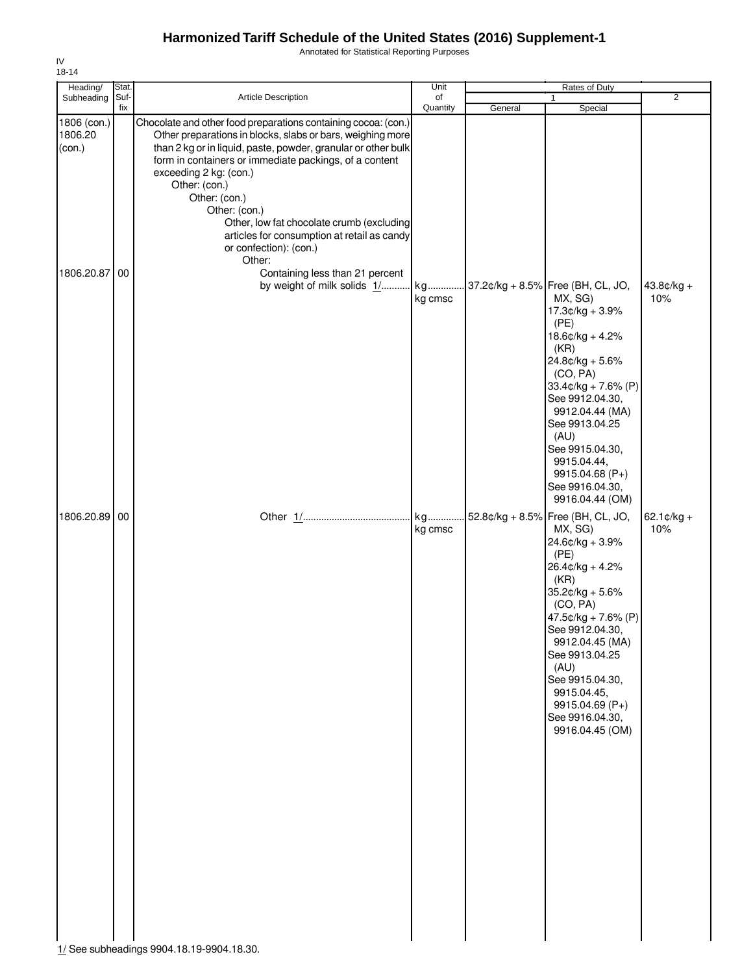Annotated for Statistical Reporting Purposes

| Heading/                                       | Stat.       |                                                                                                                                                                                                                                                                                                                                                                                                                                                                                                                                        | Unit           |         | Rates of Duty                                                                                                                                                                                                                                                                                                            |                             |
|------------------------------------------------|-------------|----------------------------------------------------------------------------------------------------------------------------------------------------------------------------------------------------------------------------------------------------------------------------------------------------------------------------------------------------------------------------------------------------------------------------------------------------------------------------------------------------------------------------------------|----------------|---------|--------------------------------------------------------------------------------------------------------------------------------------------------------------------------------------------------------------------------------------------------------------------------------------------------------------------------|-----------------------------|
| Subheading                                     | Suf-<br>fix | Article Description                                                                                                                                                                                                                                                                                                                                                                                                                                                                                                                    | of<br>Quantity | General | Special                                                                                                                                                                                                                                                                                                                  | $\overline{2}$              |
| 1806 (con.)<br>1806.20<br>(con.)<br>1806.20.87 | 00          | Chocolate and other food preparations containing cocoa: (con.)<br>Other preparations in blocks, slabs or bars, weighing more<br>than 2 kg or in liquid, paste, powder, granular or other bulk<br>form in containers or immediate packings, of a content<br>exceeding 2 kg: (con.)<br>Other: (con.)<br>Other: (con.)<br>Other: (con.)<br>Other, low fat chocolate crumb (excluding<br>articles for consumption at retail as candy<br>or confection): (con.)<br>Other:<br>Containing less than 21 percent<br>by weight of milk solids 1/ | kg             |         | 37.2¢/kg + 8.5% Free (BH, CL, JO,                                                                                                                                                                                                                                                                                        | $43.8¢/kg +$                |
|                                                |             |                                                                                                                                                                                                                                                                                                                                                                                                                                                                                                                                        | kg cmsc        |         | MX, SG)<br>17.3¢/kg + 3.9%<br>(PE)<br>$18.6$ ¢/kg + 4.2%<br>(KR)<br>$24.8¢/kg + 5.6%$<br>(CO, PA)<br>$33.4¢/kg + 7.6% (P)$<br>See 9912.04.30,<br>9912.04.44 (MA)<br>See 9913.04.25<br>(AU)<br>See 9915.04.30,<br>9915.04.44,<br>9915.04.68 (P+)<br>See 9916.04.30,<br>9916.04.44 (OM)                                    | 10%                         |
| 1806.20.89 00                                  |             |                                                                                                                                                                                                                                                                                                                                                                                                                                                                                                                                        | kg<br>kg cmsc  |         | 52.8¢/kg + 8.5% Free (BH, CL, JO,<br>MX, SG)<br>24.6¢/kg + 3.9%<br>(PE)<br>$26.4¢/kg + 4.2%$<br>(KR)<br>$35.2$ ¢/kg + 5.6%<br>(CO, PA)<br>47.5¢/kg + 7.6% (P)<br>See 9912.04.30,<br>9912.04.45 (MA)<br>See 9913.04.25<br>(AU)<br>See 9915.04.30,<br>9915.04.45,<br>9915.04.69 (P+)<br>See 9916.04.30,<br>9916.04.45 (OM) | $62.1 \text{C/kg} +$<br>10% |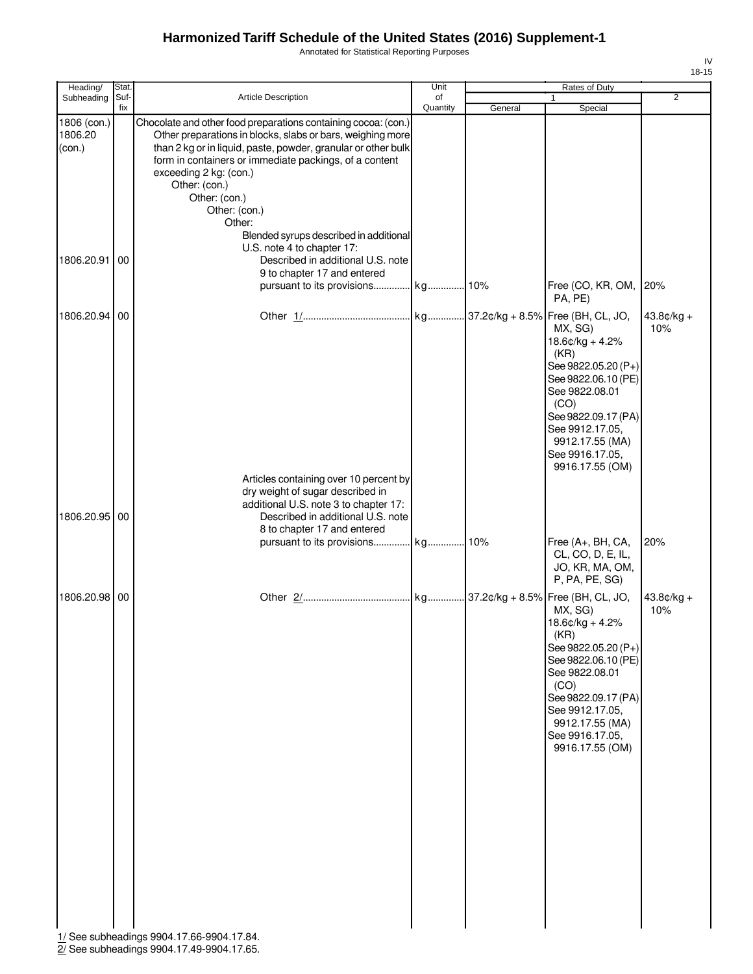Annotated for Statistical Reporting Purposes

IV 18-15

| Heading/                         | Stat.       |                                                                                                                                                                                                                                                                                                                                                | Unit     | Rates of Duty |                                                                                                                                                                                                                  |                     |
|----------------------------------|-------------|------------------------------------------------------------------------------------------------------------------------------------------------------------------------------------------------------------------------------------------------------------------------------------------------------------------------------------------------|----------|---------------|------------------------------------------------------------------------------------------------------------------------------------------------------------------------------------------------------------------|---------------------|
| Subheading                       | Suf-<br>fix | Article Description                                                                                                                                                                                                                                                                                                                            | of       |               | $\mathbf{1}$                                                                                                                                                                                                     | $\overline{2}$      |
| 1806 (con.)<br>1806.20<br>(con.) |             | Chocolate and other food preparations containing cocoa: (con.)<br>Other preparations in blocks, slabs or bars, weighing more<br>than 2 kg or in liquid, paste, powder, granular or other bulk<br>form in containers or immediate packings, of a content<br>exceeding 2 kg: (con.)<br>Other: (con.)<br>Other: (con.)<br>Other: (con.)<br>Other: | Quantity | General       | Special                                                                                                                                                                                                          |                     |
| 1806.20.91                       | 00          | Blended syrups described in additional<br>U.S. note 4 to chapter 17:<br>Described in additional U.S. note<br>9 to chapter 17 and entered                                                                                                                                                                                                       |          |               | Free (CO, KR, OM, 20%<br>PA, PE)                                                                                                                                                                                 |                     |
| 1806.20.94<br>1806.20.95 00      | 00          | Articles containing over 10 percent by<br>dry weight of sugar described in<br>additional U.S. note 3 to chapter 17:<br>Described in additional U.S. note                                                                                                                                                                                       |          |               | MX, SG)<br>$18.6¢/kg + 4.2%$<br>(KR)<br>See 9822.05.20 (P+)<br>See 9822.06.10 (PE)<br>See 9822.08.01<br>(CO)<br>See 9822.09.17 (PA)<br>See 9912.17.05,<br>9912.17.55 (MA)<br>See 9916.17.05,<br>9916.17.55 (OM)  | $43.8¢/kg +$<br>10% |
|                                  |             | 8 to chapter 17 and entered                                                                                                                                                                                                                                                                                                                    |          |               | Free (A+, BH, CA,<br>CL, CO, D, E, IL,<br>JO, KR, MA, OM,<br>P, PA, PE, SG)                                                                                                                                      | 20%                 |
| 1806.20.98 00                    |             |                                                                                                                                                                                                                                                                                                                                                |          |               | MX, SG)<br>$18.6$ ¢/kg + 4.2%<br>(KR)<br>See 9822.05.20 (P+)<br>See 9822.06.10 (PE)<br>See 9822.08.01<br>(CO)<br>See 9822.09.17 (PA)<br>See 9912.17.05,<br>9912.17.55 (MA)<br>See 9916.17.05,<br>9916.17.55 (OM) | $43.8¢/kg +$<br>10% |
|                                  |             | 1/ See subheadings 9904.17.66-9904.17.84.                                                                                                                                                                                                                                                                                                      |          |               |                                                                                                                                                                                                                  |                     |

2/ See subheadings 9904.17.49-9904.17.65.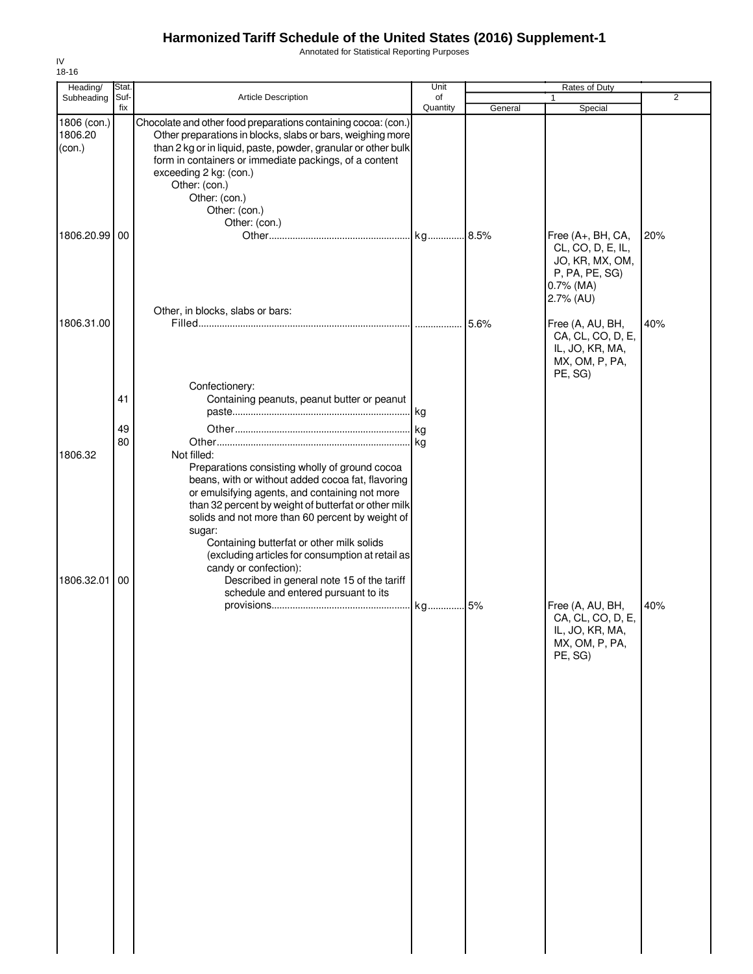Annotated for Statistical Reporting Purposes

| Heading/          | Stat.    |                                                                                                                                                                                                                                                                                                                                                                                             | Unit     |         | Rates of Duty                                                                                            |                |
|-------------------|----------|---------------------------------------------------------------------------------------------------------------------------------------------------------------------------------------------------------------------------------------------------------------------------------------------------------------------------------------------------------------------------------------------|----------|---------|----------------------------------------------------------------------------------------------------------|----------------|
| Subheading        | Suf-     | Article Description                                                                                                                                                                                                                                                                                                                                                                         | of       |         |                                                                                                          | $\overline{2}$ |
| 1806 (con.)       | fix      | Chocolate and other food preparations containing cocoa: (con.)                                                                                                                                                                                                                                                                                                                              | Quantity | General | Special                                                                                                  |                |
| 1806.20<br>(con.) |          | Other preparations in blocks, slabs or bars, weighing more<br>than 2 kg or in liquid, paste, powder, granular or other bulk<br>form in containers or immediate packings, of a content<br>exceeding 2 kg: (con.)<br>Other: (con.)<br>Other: (con.)<br>Other: (con.)<br>Other: (con.)                                                                                                         |          |         |                                                                                                          |                |
| 1806.20.99 00     |          | Other, in blocks, slabs or bars:                                                                                                                                                                                                                                                                                                                                                            |          |         | Free (A+, BH, CA,<br>CL, CO, D, E, IL,<br>JO, KR, MX, OM,<br>P, PA, PE, SG)<br>$0.7\%$ (MA)<br>2.7% (AU) | 20%            |
| 1806.31.00        |          |                                                                                                                                                                                                                                                                                                                                                                                             |          | 5.6%    | Free (A, AU, BH,<br>CA, CL, CO, D, E,<br>IL, JO, KR, MA,<br>MX, OM, P, PA,<br>PE, SG)                    | 40%            |
|                   | 41<br>49 | Confectionery:<br>Containing peanuts, peanut butter or peanut                                                                                                                                                                                                                                                                                                                               |          |         |                                                                                                          |                |
| 1806.32           | 80       | Not filled:<br>Preparations consisting wholly of ground cocoa<br>beans, with or without added cocoa fat, flavoring<br>or emulsifying agents, and containing not more<br>than 32 percent by weight of butterfat or other milk<br>solids and not more than 60 percent by weight of<br>sugar:<br>Containing butterfat or other milk solids<br>(excluding articles for consumption at retail as | kg       |         |                                                                                                          |                |
| 1806.32.01        | 00       | candy or confection):<br>Described in general note 15 of the tariff<br>schedule and entered pursuant to its                                                                                                                                                                                                                                                                                 |          |         | Free (A, AU, BH,<br>CA, CL, CO, D, E,<br>IL, JO, KR, MA,<br>MX, OM, P, PA,<br>PE, SG)                    | 40%            |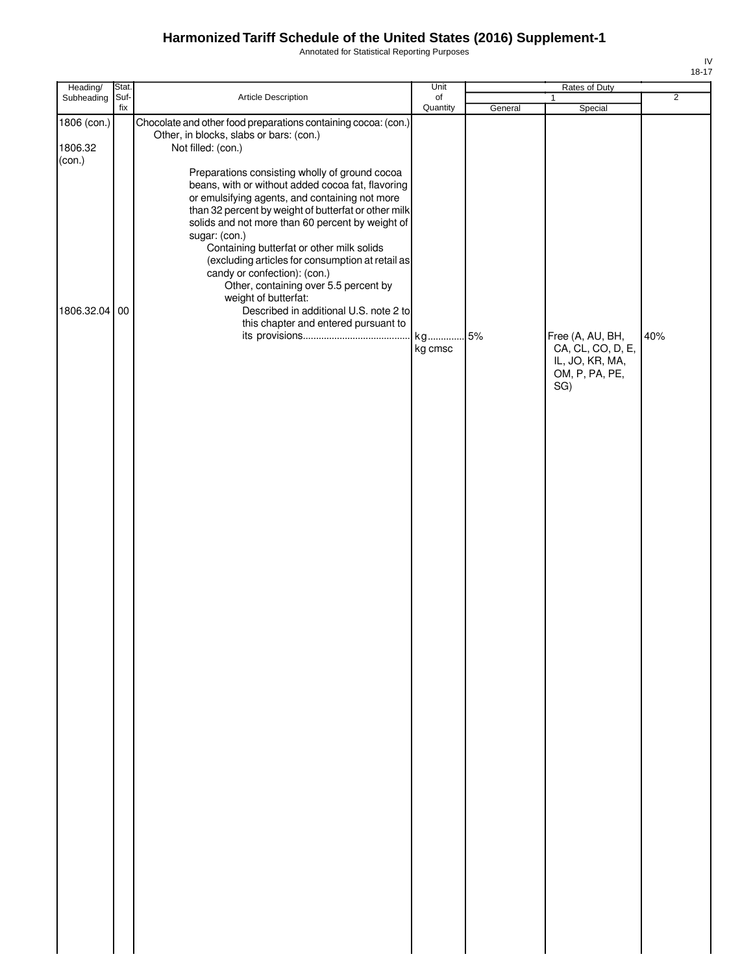Annotated for Statistical Reporting Purposes

| Heading/                         | Stat.       |                                                                                                                                                                                                                                                                                                                                                                                                                                                                                                                                                                        | Unit           |         | Rates of Duty                                                                     |                |
|----------------------------------|-------------|------------------------------------------------------------------------------------------------------------------------------------------------------------------------------------------------------------------------------------------------------------------------------------------------------------------------------------------------------------------------------------------------------------------------------------------------------------------------------------------------------------------------------------------------------------------------|----------------|---------|-----------------------------------------------------------------------------------|----------------|
| Subheading                       | Suf-<br>fix | Article Description                                                                                                                                                                                                                                                                                                                                                                                                                                                                                                                                                    | of<br>Quantity | General | $\mathbf{1}$<br>Special                                                           | $\overline{2}$ |
| 1806 (con.)<br>1806.32<br>(con.) |             | Chocolate and other food preparations containing cocoa: (con.)<br>Other, in blocks, slabs or bars: (con.)<br>Not filled: (con.)                                                                                                                                                                                                                                                                                                                                                                                                                                        |                |         |                                                                                   |                |
| 1806.32.04 00                    |             | Preparations consisting wholly of ground cocoa<br>beans, with or without added cocoa fat, flavoring<br>or emulsifying agents, and containing not more<br>than 32 percent by weight of butterfat or other milk<br>solids and not more than 60 percent by weight of<br>sugar: (con.)<br>Containing butterfat or other milk solids<br>(excluding articles for consumption at retail as<br>candy or confection): (con.)<br>Other, containing over 5.5 percent by<br>weight of butterfat:<br>Described in additional U.S. note 2 to<br>this chapter and entered pursuant to |                |         |                                                                                   |                |
|                                  |             |                                                                                                                                                                                                                                                                                                                                                                                                                                                                                                                                                                        | kg<br>kg cmsc  | .5%     | Free (A, AU, BH,<br>CA, CL, CO, D, E,<br>IL, JO, KR, MA,<br>OM, P, PA, PE,<br>SG) | 40%            |
|                                  |             |                                                                                                                                                                                                                                                                                                                                                                                                                                                                                                                                                                        |                |         |                                                                                   |                |
|                                  |             |                                                                                                                                                                                                                                                                                                                                                                                                                                                                                                                                                                        |                |         |                                                                                   |                |
|                                  |             |                                                                                                                                                                                                                                                                                                                                                                                                                                                                                                                                                                        |                |         |                                                                                   |                |
|                                  |             |                                                                                                                                                                                                                                                                                                                                                                                                                                                                                                                                                                        |                |         |                                                                                   |                |
|                                  |             |                                                                                                                                                                                                                                                                                                                                                                                                                                                                                                                                                                        |                |         |                                                                                   |                |
|                                  |             |                                                                                                                                                                                                                                                                                                                                                                                                                                                                                                                                                                        |                |         |                                                                                   |                |
|                                  |             |                                                                                                                                                                                                                                                                                                                                                                                                                                                                                                                                                                        |                |         |                                                                                   |                |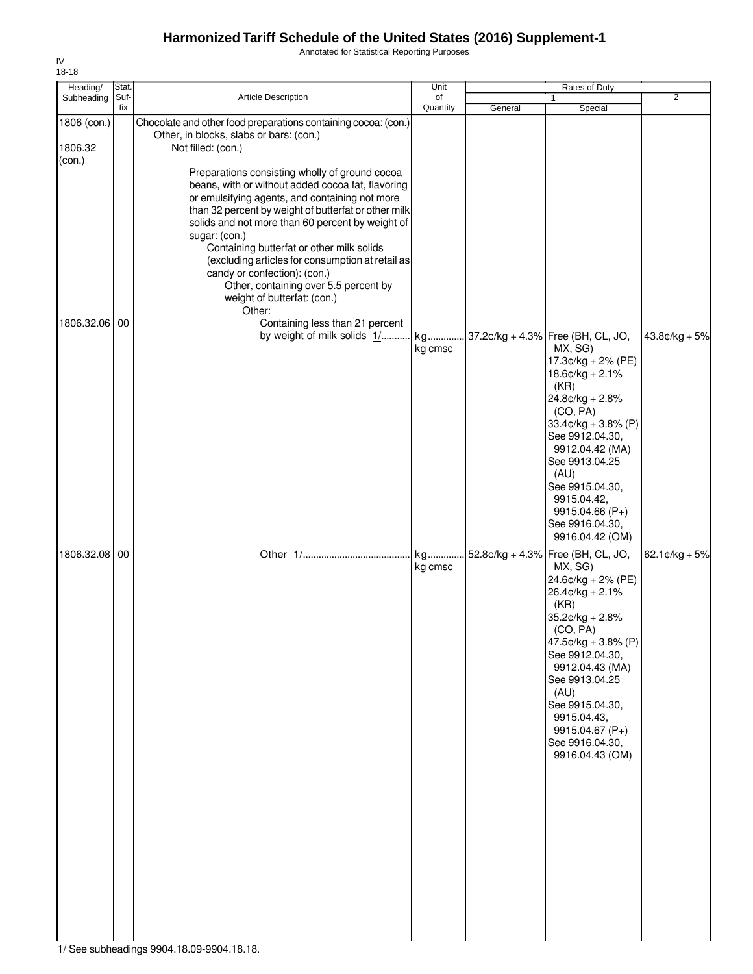Annotated for Statistical Reporting Purposes

| Heading/                | Stat.       |                                                                                                                                                                                                                                                                                                                                                                                                                                                                                                                                                                         | Unit           |         | Rates of Duty                                                                                                                                                                                                                                                                                                    |                          |
|-------------------------|-------------|-------------------------------------------------------------------------------------------------------------------------------------------------------------------------------------------------------------------------------------------------------------------------------------------------------------------------------------------------------------------------------------------------------------------------------------------------------------------------------------------------------------------------------------------------------------------------|----------------|---------|------------------------------------------------------------------------------------------------------------------------------------------------------------------------------------------------------------------------------------------------------------------------------------------------------------------|--------------------------|
| Subheading              | Suf-<br>fix | Article Description                                                                                                                                                                                                                                                                                                                                                                                                                                                                                                                                                     | of<br>Quantity | General | Special                                                                                                                                                                                                                                                                                                          | $\overline{2}$           |
| 1806 (con.)<br>1806.32  |             | Chocolate and other food preparations containing cocoa: (con.)<br>Other, in blocks, slabs or bars: (con.)<br>Not filled: (con.)                                                                                                                                                                                                                                                                                                                                                                                                                                         |                |         |                                                                                                                                                                                                                                                                                                                  |                          |
| (con.)<br>1806.32.06 00 |             | Preparations consisting wholly of ground cocoa<br>beans, with or without added cocoa fat, flavoring<br>or emulsifying agents, and containing not more<br>than 32 percent by weight of butterfat or other milk<br>solids and not more than 60 percent by weight of<br>sugar: (con.)<br>Containing butterfat or other milk solids<br>(excluding articles for consumption at retail as<br>candy or confection): (con.)<br>Other, containing over 5.5 percent by<br>weight of butterfat: (con.)<br>Other:<br>Containing less than 21 percent<br>by weight of milk solids 1/ | kg<br>kg cmsc  |         | 37.2¢/kg + 4.3% Free (BH, CL, JO,<br>MX, SG)<br>17.3¢/kg + 2% (PE)                                                                                                                                                                                                                                               | $43.8¢/kg + 5%$          |
|                         |             |                                                                                                                                                                                                                                                                                                                                                                                                                                                                                                                                                                         |                |         | $18.6$ ¢/kg + 2.1%<br>(KR)<br>24.8¢/kg + 2.8%<br>(CO, PA)<br>$33.4¢/kg + 3.8% (P)$<br>See 9912.04.30,<br>9912.04.42 (MA)<br>See 9913.04.25<br>(AU)<br>See 9915.04.30,<br>9915.04.42,<br>9915.04.66 (P+)<br>See 9916.04.30,<br>9916.04.42 (OM)                                                                    |                          |
| 1806.32.08 00           |             |                                                                                                                                                                                                                                                                                                                                                                                                                                                                                                                                                                         | kg<br>kg cmsc  |         | 52.8¢/kg + 4.3% Free (BH, CL, JO,<br>MX, SG)<br>24.6¢/kg + 2% (PE)<br>$26.4¢/kg + 2.1%$<br>(KR)<br>35.2¢/kg + 2.8%<br>(CO, PA)<br>47.5¢/kg + 3.8% (P)<br>See 9912.04.30,<br>9912.04.43 (MA)<br>See 9913.04.25<br>(AU)<br>See 9915.04.30,<br>9915.04.43,<br>9915.04.67 (P+)<br>See 9916.04.30,<br>9916.04.43 (OM) | $62.1 \text{c/kg} + 5\%$ |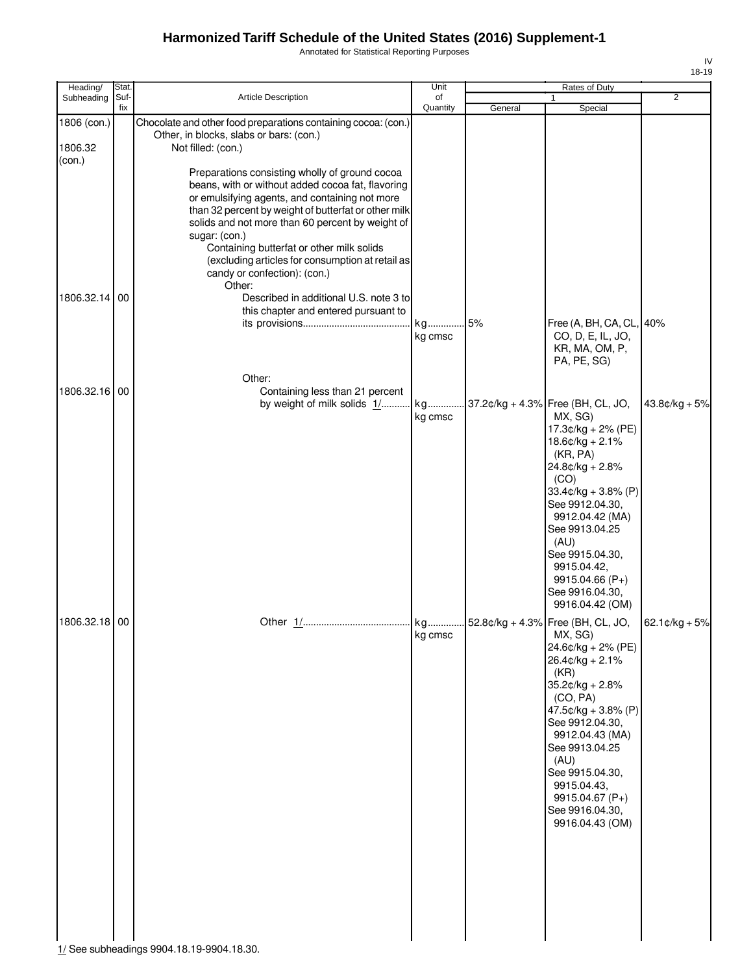Annotated for Statistical Reporting Purposes

| Heading/          | Stat.       |                                                                                                                                                                                                                                                                                                                                                                                                                               | Unit           |         | Rates of Duty                                                                                                                                                                                                                                                                     |                 |
|-------------------|-------------|-------------------------------------------------------------------------------------------------------------------------------------------------------------------------------------------------------------------------------------------------------------------------------------------------------------------------------------------------------------------------------------------------------------------------------|----------------|---------|-----------------------------------------------------------------------------------------------------------------------------------------------------------------------------------------------------------------------------------------------------------------------------------|-----------------|
| Subheading        | Suf-<br>fix | <b>Article Description</b>                                                                                                                                                                                                                                                                                                                                                                                                    | of<br>Quantity | General | 1                                                                                                                                                                                                                                                                                 | 2               |
| 1806 (con.)       |             | Chocolate and other food preparations containing cocoa: (con.)<br>Other, in blocks, slabs or bars: (con.)                                                                                                                                                                                                                                                                                                                     |                |         | Special                                                                                                                                                                                                                                                                           |                 |
| 1806.32<br>(con.) |             | Not filled: (con.)                                                                                                                                                                                                                                                                                                                                                                                                            |                |         |                                                                                                                                                                                                                                                                                   |                 |
|                   |             | Preparations consisting wholly of ground cocoa<br>beans, with or without added cocoa fat, flavoring<br>or emulsifying agents, and containing not more<br>than 32 percent by weight of butterfat or other milk<br>solids and not more than 60 percent by weight of<br>sugar: (con.)<br>Containing butterfat or other milk solids<br>(excluding articles for consumption at retail as<br>candy or confection): (con.)<br>Other: |                |         |                                                                                                                                                                                                                                                                                   |                 |
| 1806.32.14 00     |             | Described in additional U.S. note 3 to<br>this chapter and entered pursuant to                                                                                                                                                                                                                                                                                                                                                |                |         |                                                                                                                                                                                                                                                                                   |                 |
|                   |             |                                                                                                                                                                                                                                                                                                                                                                                                                               | kg 5%          |         | Free (A, BH, CA, CL, 40%                                                                                                                                                                                                                                                          |                 |
|                   |             |                                                                                                                                                                                                                                                                                                                                                                                                                               | kg cmsc        |         | CO, D, E, IL, JO,<br>KR, MA, OM, P,<br>PA, PE, SG)                                                                                                                                                                                                                                |                 |
|                   |             | Other:                                                                                                                                                                                                                                                                                                                                                                                                                        |                |         |                                                                                                                                                                                                                                                                                   |                 |
| 1806.32.16 00     |             | Containing less than 21 percent                                                                                                                                                                                                                                                                                                                                                                                               |                |         |                                                                                                                                                                                                                                                                                   | $43.8¢/kg + 5%$ |
|                   |             |                                                                                                                                                                                                                                                                                                                                                                                                                               | kg cmsc        |         | MX, SG)                                                                                                                                                                                                                                                                           |                 |
|                   |             |                                                                                                                                                                                                                                                                                                                                                                                                                               |                |         | 17.3¢/kg + 2% (PE)                                                                                                                                                                                                                                                                |                 |
|                   |             |                                                                                                                                                                                                                                                                                                                                                                                                                               |                |         | $18.6$ ¢/kg + 2.1%<br>(KR, PA)                                                                                                                                                                                                                                                    |                 |
|                   |             |                                                                                                                                                                                                                                                                                                                                                                                                                               |                |         | 24.8¢/kg + 2.8%                                                                                                                                                                                                                                                                   |                 |
|                   |             |                                                                                                                                                                                                                                                                                                                                                                                                                               |                |         | (CO)                                                                                                                                                                                                                                                                              |                 |
|                   |             |                                                                                                                                                                                                                                                                                                                                                                                                                               |                |         | $33.4$ ¢/kg + $3.8\%$ (P)<br>See 9912.04.30,                                                                                                                                                                                                                                      |                 |
|                   |             |                                                                                                                                                                                                                                                                                                                                                                                                                               |                |         | 9912.04.42 (MA)                                                                                                                                                                                                                                                                   |                 |
|                   |             |                                                                                                                                                                                                                                                                                                                                                                                                                               |                |         | See 9913.04.25                                                                                                                                                                                                                                                                    |                 |
|                   |             |                                                                                                                                                                                                                                                                                                                                                                                                                               |                |         | (AU)                                                                                                                                                                                                                                                                              |                 |
|                   |             |                                                                                                                                                                                                                                                                                                                                                                                                                               |                |         | See 9915.04.30,<br>9915.04.42,                                                                                                                                                                                                                                                    |                 |
|                   |             |                                                                                                                                                                                                                                                                                                                                                                                                                               |                |         | 9915.04.66 (P+)                                                                                                                                                                                                                                                                   |                 |
|                   |             |                                                                                                                                                                                                                                                                                                                                                                                                                               |                |         | See 9916.04.30,                                                                                                                                                                                                                                                                   |                 |
| 1806.32.18 00     |             |                                                                                                                                                                                                                                                                                                                                                                                                                               |                |         | 9916.04.42 (OM)                                                                                                                                                                                                                                                                   |                 |
|                   |             |                                                                                                                                                                                                                                                                                                                                                                                                                               |                |         |                                                                                                                                                                                                                                                                                   | $62.1¢/kg + 5%$ |
|                   |             |                                                                                                                                                                                                                                                                                                                                                                                                                               | kg cmsc        |         | MX, SG)<br>24.6¢/kg + 2% (PE)<br>26.4¢/kg + 2.1%<br>(KR)<br>$35.2¢/kg + 2.8%$<br>(CO, PA)<br>47.5 $¢$ /kg + 3.8% (P)<br>See 9912.04.30,<br>9912.04.43 (MA)<br>See 9913.04.25<br>(AU)<br>See 9915.04.30,<br>9915.04.43,<br>9915.04.67 $(P+)$<br>See 9916.04.30,<br>9916.04.43 (OM) |                 |

1/ See subheadings 9904.18.19-9904.18.30.

IV 18-19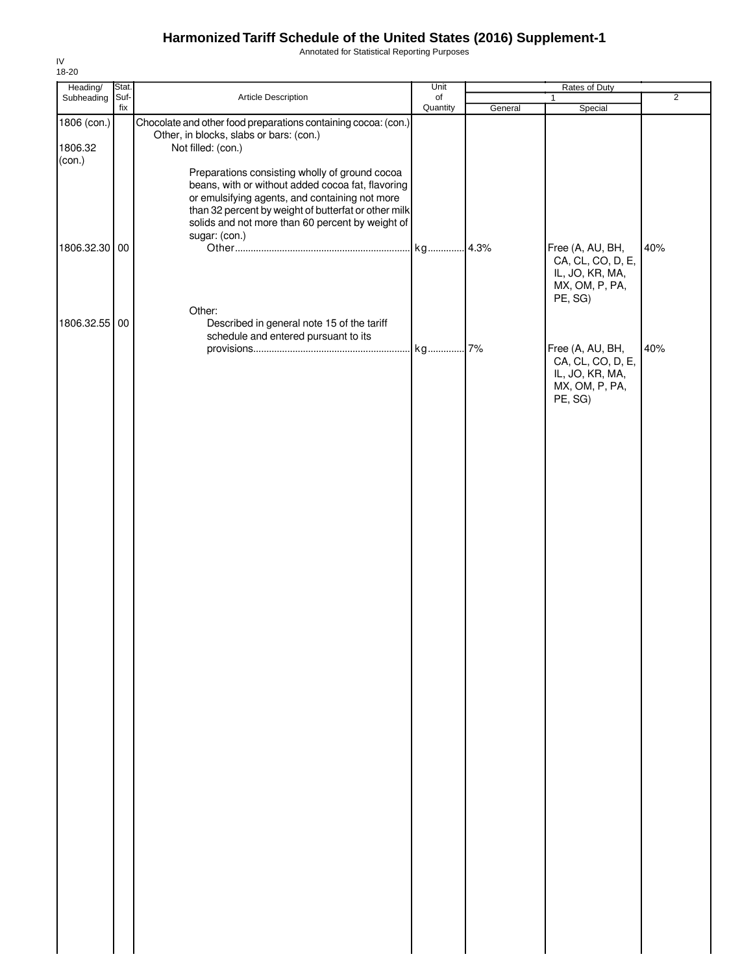Annotated for Statistical Reporting Purposes

| Heading/               | Stat. |                                                                                                                                                                                                                                                                                    | Unit     |         | Rates of Duty                                                                         |                |
|------------------------|-------|------------------------------------------------------------------------------------------------------------------------------------------------------------------------------------------------------------------------------------------------------------------------------------|----------|---------|---------------------------------------------------------------------------------------|----------------|
| Subheading Suf-        |       | Article Description                                                                                                                                                                                                                                                                | of       |         | $\mathbf{1}$                                                                          | $\overline{2}$ |
|                        | fix   |                                                                                                                                                                                                                                                                                    | Quantity | General | Special                                                                               |                |
| 1806 (con.)<br>1806.32 |       | Chocolate and other food preparations containing cocoa: (con.)<br>Other, in blocks, slabs or bars: (con.)<br>Not filled: (con.)                                                                                                                                                    |          |         |                                                                                       |                |
| (con.)                 |       | Preparations consisting wholly of ground cocoa<br>beans, with or without added cocoa fat, flavoring<br>or emulsifying agents, and containing not more<br>than 32 percent by weight of butterfat or other milk<br>solids and not more than 60 percent by weight of<br>sugar: (con.) |          |         |                                                                                       |                |
| 1806.32.30 00          |       |                                                                                                                                                                                                                                                                                    |          |         | Free (A, AU, BH,<br>CA, CL, CO, D, E,<br>IL, JO, KR, MA,<br>MX, OM, P, PA,<br>PE, SG) | 40%            |
| 1806.32.55 00          |       | Other:<br>Described in general note 15 of the tariff<br>schedule and entered pursuant to its                                                                                                                                                                                       |          |         |                                                                                       |                |
|                        |       |                                                                                                                                                                                                                                                                                    |          |         | Free (A, AU, BH,<br>CA, CL, CO, D, E,<br>IL, JO, KR, MA,<br>MX, OM, P, PA,<br>PE, SG) | 40%            |
|                        |       |                                                                                                                                                                                                                                                                                    |          |         |                                                                                       |                |
|                        |       |                                                                                                                                                                                                                                                                                    |          |         |                                                                                       |                |
|                        |       |                                                                                                                                                                                                                                                                                    |          |         |                                                                                       |                |
|                        |       |                                                                                                                                                                                                                                                                                    |          |         |                                                                                       |                |
|                        |       |                                                                                                                                                                                                                                                                                    |          |         |                                                                                       |                |
|                        |       |                                                                                                                                                                                                                                                                                    |          |         |                                                                                       |                |
|                        |       |                                                                                                                                                                                                                                                                                    |          |         |                                                                                       |                |
|                        |       |                                                                                                                                                                                                                                                                                    |          |         |                                                                                       |                |
|                        |       |                                                                                                                                                                                                                                                                                    |          |         |                                                                                       |                |
|                        |       |                                                                                                                                                                                                                                                                                    |          |         |                                                                                       |                |
|                        |       |                                                                                                                                                                                                                                                                                    |          |         |                                                                                       |                |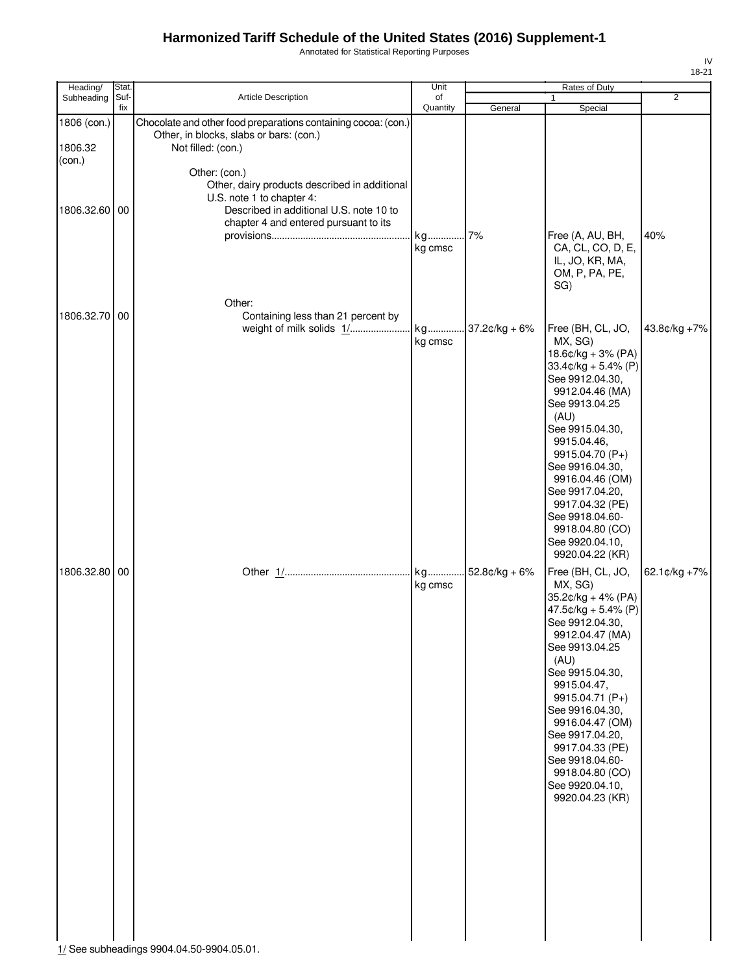Annotated for Statistical Reporting Purposes

| Heading/                         | Stat.       |                                                                                                                                                                                 | Unit           |         | Rates of Duty                                                                                                                                                                                                                                                                                                                                          |                |
|----------------------------------|-------------|---------------------------------------------------------------------------------------------------------------------------------------------------------------------------------|----------------|---------|--------------------------------------------------------------------------------------------------------------------------------------------------------------------------------------------------------------------------------------------------------------------------------------------------------------------------------------------------------|----------------|
| Subheading                       | Suf-<br>fix | Article Description                                                                                                                                                             | of<br>Quantity | General | 1<br>Special                                                                                                                                                                                                                                                                                                                                           | $\overline{2}$ |
| 1806 (con.)<br>1806.32<br>(con.) |             | Chocolate and other food preparations containing cocoa: (con.)<br>Other, in blocks, slabs or bars: (con.)<br>Not filled: (con.)                                                 |                |         |                                                                                                                                                                                                                                                                                                                                                        |                |
| 1806.32.60 00                    |             | Other: (con.)<br>Other, dairy products described in additional<br>U.S. note 1 to chapter 4:<br>Described in additional U.S. note 10 to<br>chapter 4 and entered pursuant to its | kg<br>kg cmsc  | 7%      | Free (A, AU, BH,<br>CA, CL, CO, D, E,<br>IL, JO, KR, MA,                                                                                                                                                                                                                                                                                               | 40%            |
| 1806.32.70 00                    |             | Other:<br>Containing less than 21 percent by                                                                                                                                    |                |         | OM, P, PA, PE,<br>SG)<br>Free (BH, CL, JO,                                                                                                                                                                                                                                                                                                             | 43.8¢/kg +7%   |
|                                  |             |                                                                                                                                                                                 | kg cmsc        |         | MX, SG)<br>$18.6¢/kg + 3% (PA)$<br>$33.4$ ¢/kg + 5.4% (P)<br>See 9912.04.30,<br>9912.04.46 (MA)<br>See 9913.04.25<br>(AU)<br>See 9915.04.30,<br>9915.04.46,<br>9915.04.70 (P+)<br>See 9916.04.30,<br>9916.04.46 (OM)<br>See 9917.04.20,<br>9917.04.32 (PE)<br>See 9918.04.60-<br>9918.04.80 (CO)<br>See 9920.04.10,<br>9920.04.22 (KR)                 |                |
| 1806.32.80 00                    |             |                                                                                                                                                                                 | kg cmsc        |         | Free (BH, CL, JO,<br>MX, SG)<br>35.2¢/kg + 4% (PA)<br>47.5¢/kg + 5.4% (P)<br>See 9912.04.30,<br>9912.04.47 (MA)<br>See 9913.04.25<br>(AU)<br>See 9915.04.30,<br>9915.04.47,<br>9915.04.71 (P+)<br>See 9916.04.30,<br>9916.04.47 (OM)<br>See 9917.04.20,<br>9917.04.33 (PE)<br>See 9918.04.60-<br>9918.04.80 (CO)<br>See 9920.04.10,<br>9920.04.23 (KR) | 62.1¢/kg +7%   |

IV 18-21

1/ See subheadings 9904.04.50-9904.05.01.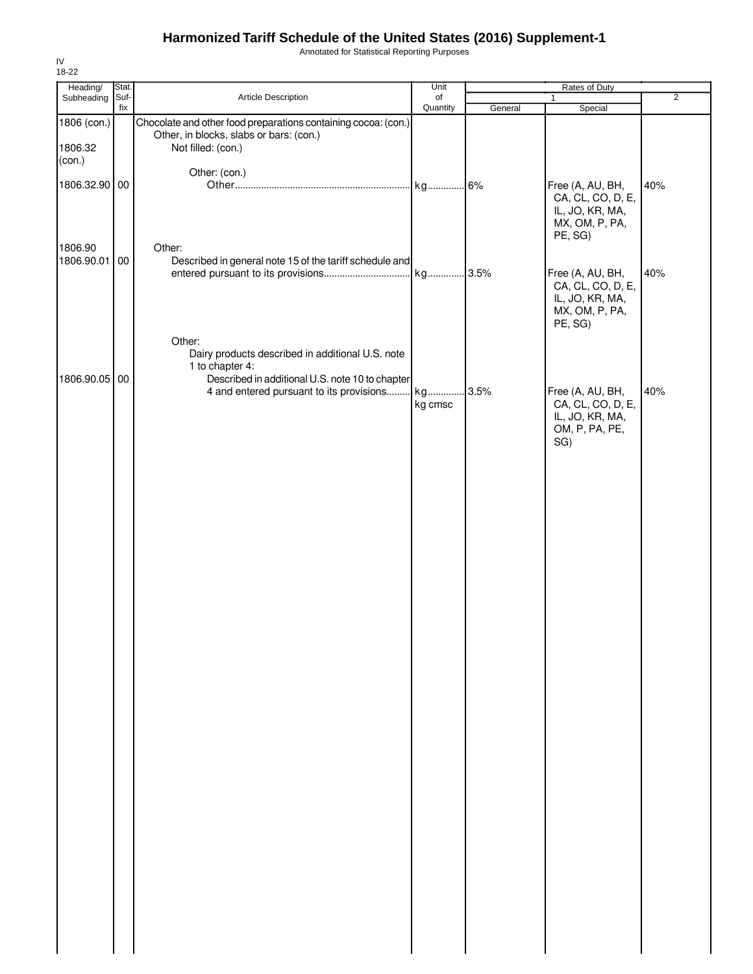Annotated for Statistical Reporting Purposes

| Heading/                | Stat.       |                                                                                                                                                                              | Unit           | Rates of Duty |                                                                                       |                |
|-------------------------|-------------|------------------------------------------------------------------------------------------------------------------------------------------------------------------------------|----------------|---------------|---------------------------------------------------------------------------------------|----------------|
| Subheading              | Suf-<br>fix | Article Description                                                                                                                                                          | of<br>Quantity | General       | $\mathbf{1}$<br>Special                                                               | $\overline{2}$ |
| 1806 (con.)<br>1806.32  |             | Chocolate and other food preparations containing cocoa: (con.)<br>Other, in blocks, slabs or bars: (con.)<br>Not filled: (con.)                                              |                |               |                                                                                       |                |
| (con.)<br>1806.32.90 00 |             | Other: (con.)                                                                                                                                                                |                |               | Free (A, AU, BH,<br>CA, CL, CO, D, E,<br>IL, JO, KR, MA,<br>MX, OM, P, PA,<br>PE, SG) | 40%            |
| 1806.90<br>1806.90.01   | 00          | Other:<br>Described in general note 15 of the tariff schedule and                                                                                                            | kg 3.5%        |               | Free (A, AU, BH,<br>CA, CL, CO, D, E,<br>IL, JO, KR, MA,<br>MX, OM, P, PA,<br>PE, SG) | 40%            |
| 1806.90.05 00           |             | Other:<br>Dairy products described in additional U.S. note<br>1 to chapter 4:<br>Described in additional U.S. note 10 to chapter<br>4 and entered pursuant to its provisions | kg<br>kg cmsc  | 3.5%          | Free (A, AU, BH,<br>CA, CL, CO, D, E,<br>IL, JO, KR, MA,<br>OM, P, PA, PE,<br>SG)     | 40%            |
|                         |             |                                                                                                                                                                              |                |               |                                                                                       |                |
|                         |             |                                                                                                                                                                              |                |               |                                                                                       |                |
|                         |             |                                                                                                                                                                              |                |               |                                                                                       |                |
|                         |             |                                                                                                                                                                              |                |               |                                                                                       |                |
|                         |             |                                                                                                                                                                              |                |               |                                                                                       |                |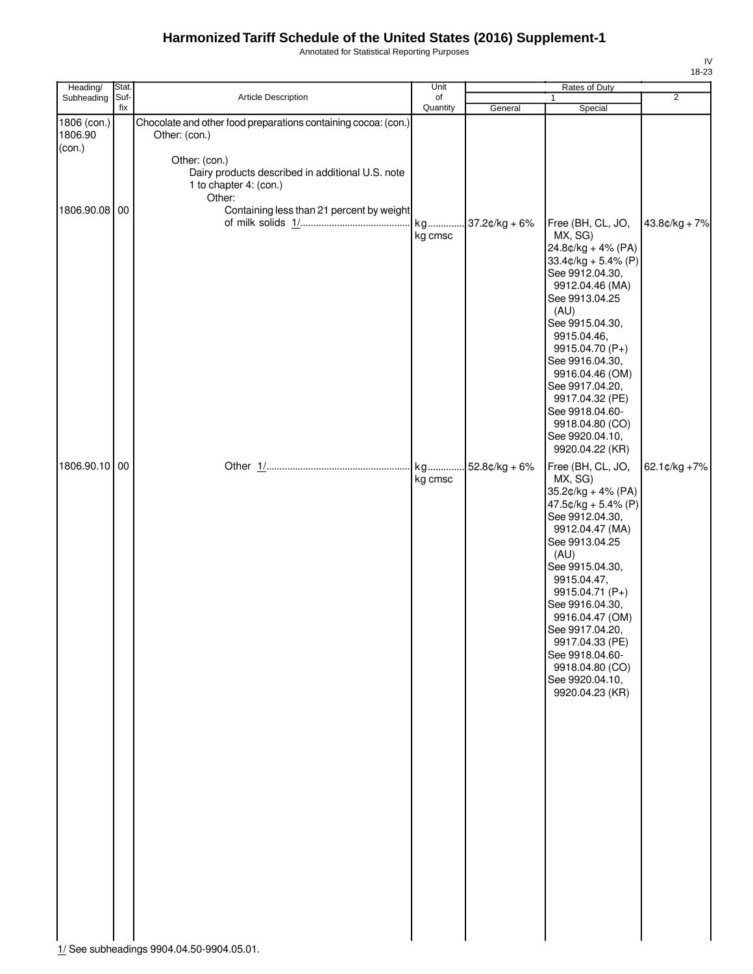Annotated for Statistical Reporting Purposes

| Heading/                         | Stat.       |                                                                                                                                                                                          | Unit           | Rates of Duty    |                                                                                                                                                                                                                                                                                                                                                          |                |
|----------------------------------|-------------|------------------------------------------------------------------------------------------------------------------------------------------------------------------------------------------|----------------|------------------|----------------------------------------------------------------------------------------------------------------------------------------------------------------------------------------------------------------------------------------------------------------------------------------------------------------------------------------------------------|----------------|
| Subheading                       | Suf-<br>fix | Article Description                                                                                                                                                                      | of<br>Quantity | General          | 1<br>Special                                                                                                                                                                                                                                                                                                                                             | $\overline{2}$ |
| 1806 (con.)<br>1806.90<br>(con.) |             | Chocolate and other food preparations containing cocoa: (con.)<br>Other: (con.)<br>Other: (con.)<br>Dairy products described in additional U.S. note<br>1 to chapter 4: (con.)<br>Other: |                |                  |                                                                                                                                                                                                                                                                                                                                                          |                |
| 1806.90.08 00                    |             | Containing less than 21 percent by weight                                                                                                                                                | kg<br>kg cmsc  | $37.2$ ¢/kg + 6% | Free (BH, CL, JO,<br>MX, SG)<br>24.8¢/kg + 4% (PA)<br>$33.4¢/kg + 5.4% (P)$<br>See 9912.04.30,<br>9912.04.46 (MA)<br>See 9913.04.25<br>(AU)<br>See 9915.04.30,<br>9915.04.46,<br>9915.04.70 (P+)<br>See 9916.04.30,<br>9916.04.46 (OM)<br>See 9917.04.20,<br>9917.04.32 (PE)<br>See 9918.04.60-<br>9918.04.80 (CO)<br>See 9920.04.10,<br>9920.04.22 (KR) | 43.8¢/kg + 7%  |
| 1806.90.10 00                    |             |                                                                                                                                                                                          | kg cmsc        | $52.8¢/kg + 6%$  | Free (BH, CL, JO,<br>MX, SG)<br>35.2¢/kg + 4% (PA)<br>47.5¢/kg + 5.4% (P)<br>See 9912.04.30,<br>9912.04.47 (MA)<br>See 9913.04.25<br>(AU)<br>See 9915.04.30,<br>9915.04.47,<br>9915.04.71 (P+)<br>See 9916.04.30,<br>9916.04.47 (OM)<br>See 9917.04.20,<br>9917.04.33 (PE)<br>See 9918.04.60-<br>9918.04.80 (CO)<br>See 9920.04.10,<br>9920.04.23 (KR)   | 62.1¢/kg +7%   |

1/ See subheadings 9904.04.50-9904.05.01.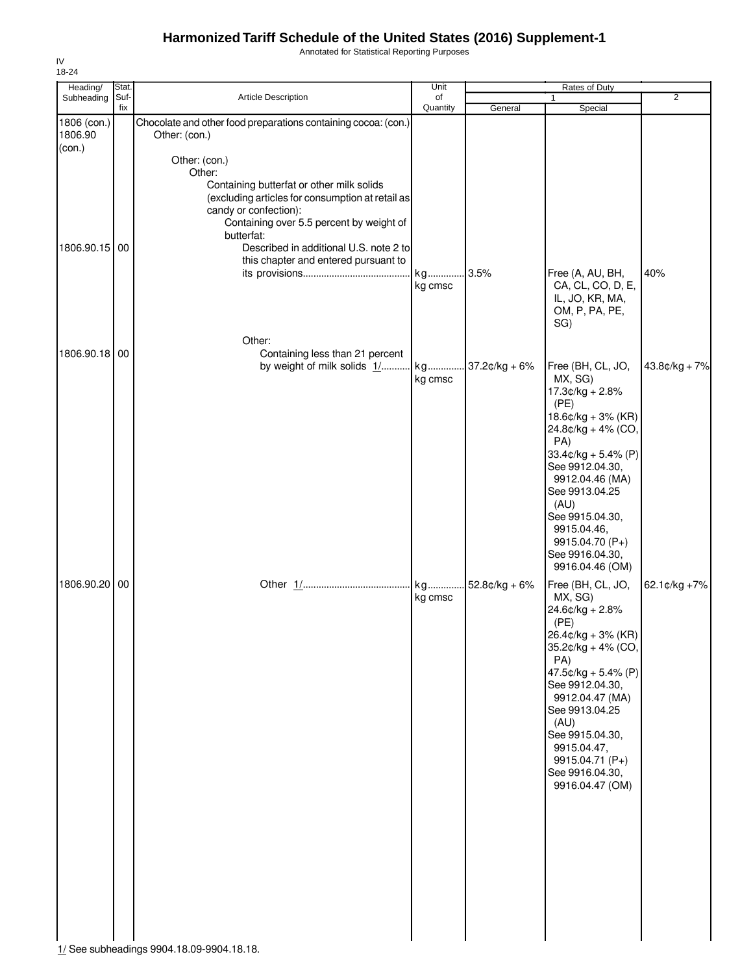Annotated for Statistical Reporting Purposes

| Heading/               | Stat.       |                                                                                                                                                                                                             | Unit           | Rates of Duty    |                                                                                                                                                                                                                                                                                                    |                 |  |
|------------------------|-------------|-------------------------------------------------------------------------------------------------------------------------------------------------------------------------------------------------------------|----------------|------------------|----------------------------------------------------------------------------------------------------------------------------------------------------------------------------------------------------------------------------------------------------------------------------------------------------|-----------------|--|
| Subheading             | Suf-<br>fix | Article Description                                                                                                                                                                                         | of<br>Quantity | General          | 1<br>Special                                                                                                                                                                                                                                                                                       | $\overline{2}$  |  |
| 1806 (con.)<br>1806.90 |             | Chocolate and other food preparations containing cocoa: (con.)<br>Other: (con.)                                                                                                                             |                |                  |                                                                                                                                                                                                                                                                                                    |                 |  |
| (con.)                 |             | Other: (con.)<br>Other:<br>Containing butterfat or other milk solids<br>(excluding articles for consumption at retail as<br>candy or confection):<br>Containing over 5.5 percent by weight of<br>butterfat: |                |                  |                                                                                                                                                                                                                                                                                                    |                 |  |
| 1806.90.15 00          |             | Described in additional U.S. note 2 to<br>this chapter and entered pursuant to                                                                                                                              | kg<br>kg cmsc  | 3.5%             | Free (A, AU, BH,<br>CA, CL, CO, D, E,<br>IL, JO, KR, MA,                                                                                                                                                                                                                                           | 40%             |  |
| 1806.90.18 00          |             | Other:<br>Containing less than 21 percent<br>by weight of milk solids 1/ kg                                                                                                                                 |                | $37.2$ ¢/kg + 6% | OM, P, PA, PE,<br>SG)<br>Free (BH, CL, JO,                                                                                                                                                                                                                                                         | $43.8¢/kg + 7%$ |  |
|                        |             |                                                                                                                                                                                                             | kg cmsc        |                  | MX, SG)<br>$17.3¢/kg + 2.8%$<br>(PE)<br>$18.6$ ¢/kg + 3% (KR)<br>24.8¢/kg + 4% (CO,<br>PA)<br>$33.4$ ¢/kg + 5.4% (P)<br>See 9912.04.30,<br>9912.04.46 (MA)<br>See 9913.04.25<br>(AU)<br>See 9915.04.30,<br>9915.04.46,<br>9915.04.70 (P+)<br>See 9916.04.30,<br>9916.04.46 (OM)                    |                 |  |
| 1806.90.20 00          |             |                                                                                                                                                                                                             | kg cmsc        | 52.8¢/kg + 6%    | Free (BH, CL, JO,<br>MX, SG)<br>24.6¢/kg + 2.8%<br>(PE)<br>$26.4¢/kg + 3% (KR)$<br>$35.2¢/kg + 4% (CO,$<br>PA)<br>$47.5¢/kg + 5.4% (P)$<br>See 9912.04.30,<br>9912.04.47 (MA)<br>See 9913.04.25<br>(AU)<br>See 9915.04.30,<br>9915.04.47,<br>9915.04.71 (P+)<br>See 9916.04.30,<br>9916.04.47 (OM) | 62.1¢/kg +7%    |  |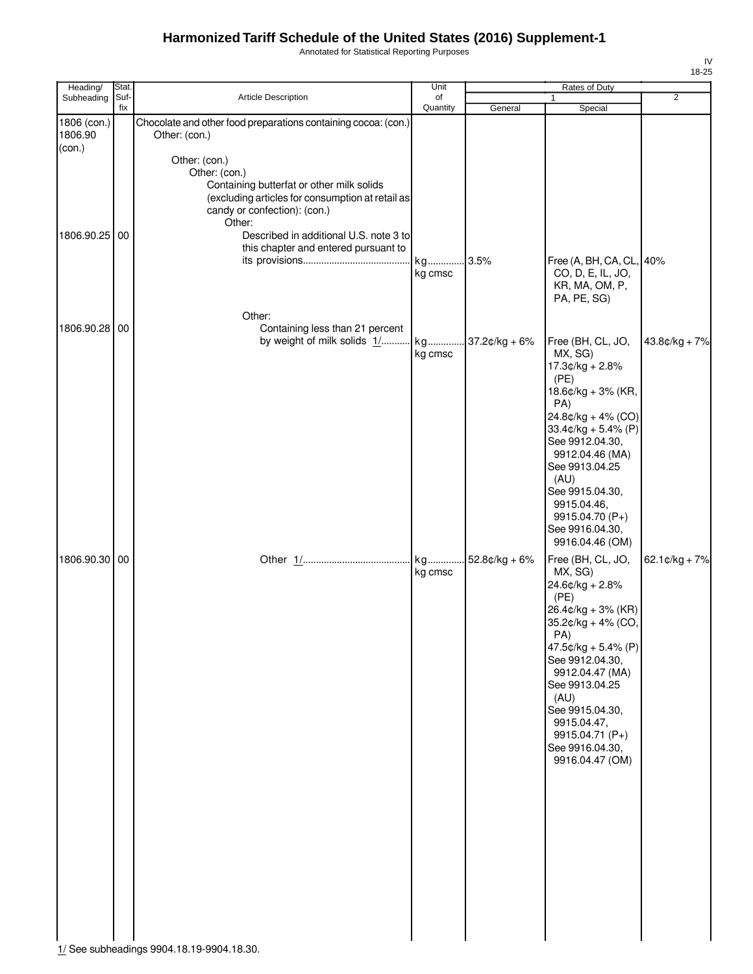Annotated for Statistical Reporting Purposes

| Heading/               | Stat.       |                                                                   | Unit           |                 | Rates of Duty                              |                          |
|------------------------|-------------|-------------------------------------------------------------------|----------------|-----------------|--------------------------------------------|--------------------------|
| Subheading             | Suf-<br>fix | Article Description                                               | of<br>Quantity |                 | $\mathbf{1}$                               | $\overline{2}$           |
|                        |             | Chocolate and other food preparations containing cocoa: (con.)    |                | General         | Special                                    |                          |
| 1806 (con.)<br>1806.90 |             | Other: (con.)                                                     |                |                 |                                            |                          |
| (con.)                 |             |                                                                   |                |                 |                                            |                          |
|                        |             | Other: (con.)                                                     |                |                 |                                            |                          |
|                        |             | Other: (con.)                                                     |                |                 |                                            |                          |
|                        |             | Containing butterfat or other milk solids                         |                |                 |                                            |                          |
|                        |             | (excluding articles for consumption at retail as                  |                |                 |                                            |                          |
|                        |             | candy or confection): (con.)                                      |                |                 |                                            |                          |
|                        |             | Other:                                                            |                |                 |                                            |                          |
| 1806.90.25 00          |             | Described in additional U.S. note 3 to                            |                |                 |                                            |                          |
|                        |             | this chapter and entered pursuant to                              |                |                 |                                            |                          |
|                        |             |                                                                   | kg             | 3.5%            | Free (A, BH, CA, CL, 40%                   |                          |
|                        |             |                                                                   | kg cmsc        |                 | CO, D, E, IL, JO,<br>KR, MA, OM, P,        |                          |
|                        |             |                                                                   |                |                 | PA, PE, SG)                                |                          |
|                        |             |                                                                   |                |                 |                                            |                          |
| 1806.90.28 00          |             | Other:                                                            |                |                 |                                            |                          |
|                        |             | Containing less than 21 percent<br>by weight of milk solids 1/ kg |                | 37.2¢/kg + 6%   | Free (BH, CL, JO,                          | $43.8¢/kg + 7%$          |
|                        |             |                                                                   | kg cmsc        |                 | MX, SG)                                    |                          |
|                        |             |                                                                   |                |                 | $17.3¢/kg + 2.8%$                          |                          |
|                        |             |                                                                   |                |                 | (PE)                                       |                          |
|                        |             |                                                                   |                |                 | 18.6¢/kg + 3% (KR,                         |                          |
|                        |             |                                                                   |                |                 | PA)                                        |                          |
|                        |             |                                                                   |                |                 | 24.8¢/kg + 4% (CO)                         |                          |
|                        |             |                                                                   |                |                 | $33.4$ ¢/kg + 5.4% (P)                     |                          |
|                        |             |                                                                   |                |                 | See 9912.04.30,                            |                          |
|                        |             |                                                                   |                |                 | 9912.04.46 (MA)<br>See 9913.04.25          |                          |
|                        |             |                                                                   |                |                 | (AU)                                       |                          |
|                        |             |                                                                   |                |                 | See 9915.04.30,                            |                          |
|                        |             |                                                                   |                |                 | 9915.04.46,                                |                          |
|                        |             |                                                                   |                |                 | 9915.04.70 (P+)                            |                          |
|                        |             |                                                                   |                |                 | See 9916.04.30,                            |                          |
|                        |             |                                                                   |                |                 | 9916.04.46 (OM)                            |                          |
| 1806.90.30 00          |             |                                                                   | kg             | $52.8¢/kg + 6%$ | Free (BH, CL, JO,                          | 62.1 $\text{C/kg} + 7\%$ |
|                        |             |                                                                   | kg cmsc        |                 | MX, SG)                                    |                          |
|                        |             |                                                                   |                |                 | 24.6¢/kg + 2.8%                            |                          |
|                        |             |                                                                   |                |                 | (PE)                                       |                          |
|                        |             |                                                                   |                |                 | $26.4$ ¢/kg + 3% (KR)                      |                          |
|                        |             |                                                                   |                |                 | 35.2¢/kg + 4% (CO,                         |                          |
|                        |             |                                                                   |                |                 | PA)                                        |                          |
|                        |             |                                                                   |                |                 | 47.5 $¢$ /kg + 5.4% (P)<br>See 9912.04.30, |                          |
|                        |             |                                                                   |                |                 | 9912.04.47 (MA)                            |                          |
|                        |             |                                                                   |                |                 | See 9913.04.25                             |                          |
|                        |             |                                                                   |                |                 | (AU)                                       |                          |
|                        |             |                                                                   |                |                 | See 9915.04.30,                            |                          |
|                        |             |                                                                   |                |                 | 9915.04.47,                                |                          |
|                        |             |                                                                   |                |                 | 9915.04.71 (P+)                            |                          |
|                        |             |                                                                   |                |                 | See 9916.04.30,                            |                          |
|                        |             |                                                                   |                |                 | 9916.04.47 (OM)                            |                          |
|                        |             |                                                                   |                |                 |                                            |                          |
|                        |             |                                                                   |                |                 |                                            |                          |
|                        |             |                                                                   |                |                 |                                            |                          |
|                        |             |                                                                   |                |                 |                                            |                          |
|                        |             |                                                                   |                |                 |                                            |                          |
|                        |             |                                                                   |                |                 |                                            |                          |
|                        |             |                                                                   |                |                 |                                            |                          |
|                        |             |                                                                   |                |                 |                                            |                          |
|                        |             |                                                                   |                |                 |                                            |                          |
|                        |             |                                                                   |                |                 |                                            |                          |
|                        |             |                                                                   |                |                 |                                            |                          |
|                        |             |                                                                   |                |                 |                                            |                          |
|                        |             |                                                                   |                |                 |                                            |                          |

1/ See subheadings 9904.18.19-9904.18.30.

IV 18-25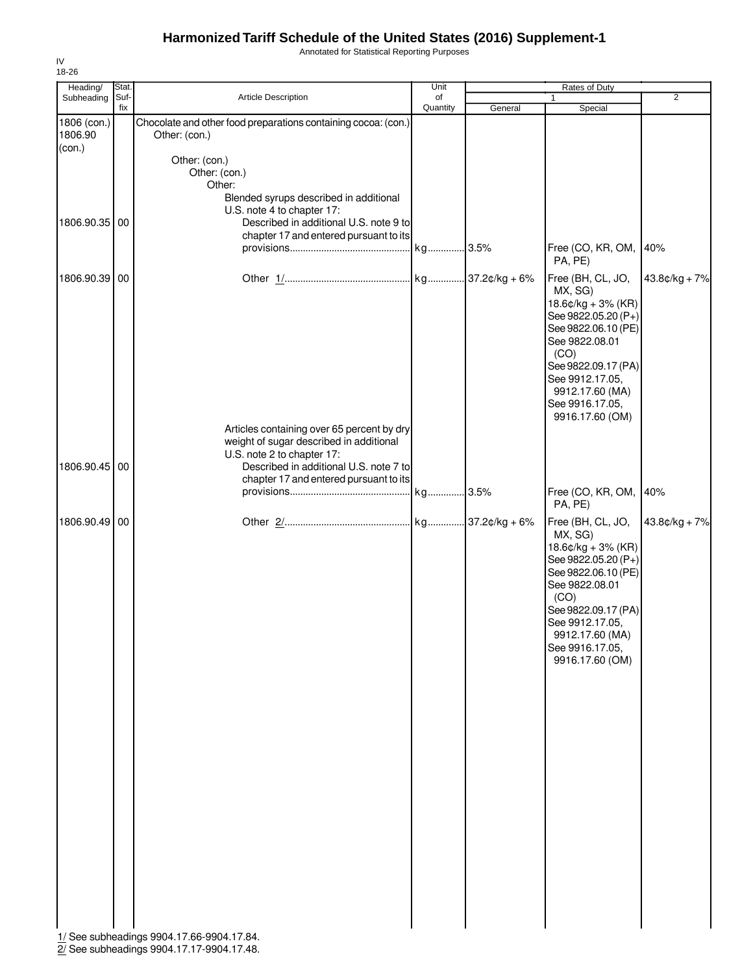Annotated for Statistical Reporting Purposes

| $\overline{2}$<br>Suf-<br><b>Article Description</b><br>of<br>Subheading<br>1<br>fix<br>Quantity<br>General<br>Special<br>Chocolate and other food preparations containing cocoa: (con.)<br>Other: (con.)<br>(con.)<br>Other: (con.)<br>Other: (con.)<br>Other:<br>Blended syrups described in additional<br>U.S. note 4 to chapter 17:<br>1806.90.35 00<br>Described in additional U.S. note 9 to<br>chapter 17 and entered pursuant to its<br>Free (CO, KR, OM,<br>40%<br>PA, PE)<br>1806.90.39 00<br>Free (BH, CL, JO,<br>$43.8¢/kg + 7%$<br>MX, SG)<br>$18.6$ ¢/kg + 3% (KR)<br>See 9822.05.20 (P+)<br>See 9822.06.10 (PE)<br>See 9822.08.01<br>(CO)<br>See 9822.09.17 (PA)<br>See 9912.17.05,<br>9912.17.60 (MA)<br>See 9916.17.05,<br>9916.17.60 (OM)<br>Articles containing over 65 percent by dry<br>weight of sugar described in additional<br>U.S. note 2 to chapter 17:<br>1806.90.45 00<br>Described in additional U.S. note 7 to<br>chapter 17 and entered pursuant to its<br>Free (CO, KR, OM,<br>40%<br>PA, PE)<br>1806.90.49 00<br>Free (BH, CL, JO,<br>$43.8¢/kg + 7%$<br>MX, SG)<br>$18.6$ ¢/kg + 3% (KR)<br>See 9822.05.20 (P+)<br>See 9822.06.10 (PE)<br>See 9822.08.01<br>(CO)<br>See 9822.09.17 (PA)<br>See 9912.17.05,<br>9912.17.60 (MA)<br>See 9916.17.05,<br>9916.17.60 (OM) | Heading/               | <b>Stat</b> | Unit |  |  |  |
|--------------------------------------------------------------------------------------------------------------------------------------------------------------------------------------------------------------------------------------------------------------------------------------------------------------------------------------------------------------------------------------------------------------------------------------------------------------------------------------------------------------------------------------------------------------------------------------------------------------------------------------------------------------------------------------------------------------------------------------------------------------------------------------------------------------------------------------------------------------------------------------------------------------------------------------------------------------------------------------------------------------------------------------------------------------------------------------------------------------------------------------------------------------------------------------------------------------------------------------------------------------------------------------------------------|------------------------|-------------|------|--|--|--|
|                                                                                                                                                                                                                                                                                                                                                                                                                                                                                                                                                                                                                                                                                                                                                                                                                                                                                                                                                                                                                                                                                                                                                                                                                                                                                                        |                        |             |      |  |  |  |
|                                                                                                                                                                                                                                                                                                                                                                                                                                                                                                                                                                                                                                                                                                                                                                                                                                                                                                                                                                                                                                                                                                                                                                                                                                                                                                        | 1806 (con.)<br>1806.90 |             |      |  |  |  |
|                                                                                                                                                                                                                                                                                                                                                                                                                                                                                                                                                                                                                                                                                                                                                                                                                                                                                                                                                                                                                                                                                                                                                                                                                                                                                                        |                        |             |      |  |  |  |
|                                                                                                                                                                                                                                                                                                                                                                                                                                                                                                                                                                                                                                                                                                                                                                                                                                                                                                                                                                                                                                                                                                                                                                                                                                                                                                        |                        |             |      |  |  |  |
|                                                                                                                                                                                                                                                                                                                                                                                                                                                                                                                                                                                                                                                                                                                                                                                                                                                                                                                                                                                                                                                                                                                                                                                                                                                                                                        |                        |             |      |  |  |  |
|                                                                                                                                                                                                                                                                                                                                                                                                                                                                                                                                                                                                                                                                                                                                                                                                                                                                                                                                                                                                                                                                                                                                                                                                                                                                                                        |                        |             |      |  |  |  |
|                                                                                                                                                                                                                                                                                                                                                                                                                                                                                                                                                                                                                                                                                                                                                                                                                                                                                                                                                                                                                                                                                                                                                                                                                                                                                                        |                        |             |      |  |  |  |
|                                                                                                                                                                                                                                                                                                                                                                                                                                                                                                                                                                                                                                                                                                                                                                                                                                                                                                                                                                                                                                                                                                                                                                                                                                                                                                        |                        |             |      |  |  |  |
| 1/ See subheadings 9904.17.66-9904.17.84.                                                                                                                                                                                                                                                                                                                                                                                                                                                                                                                                                                                                                                                                                                                                                                                                                                                                                                                                                                                                                                                                                                                                                                                                                                                              |                        |             |      |  |  |  |